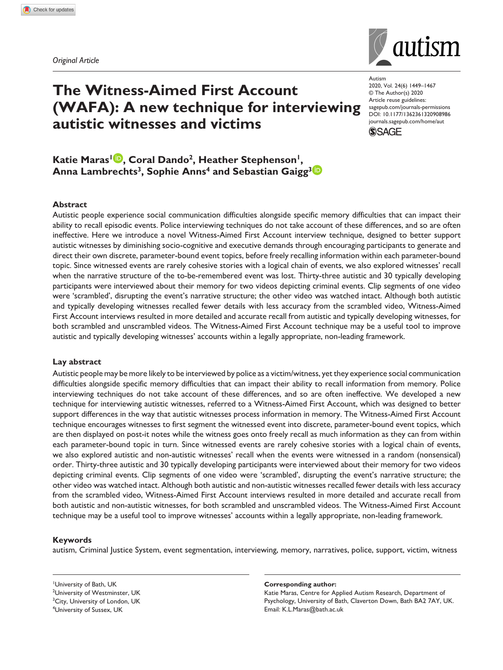*Original Article*



# **The Witness-Aimed First Account (WAFA): A new technique for interviewing autistic witnesses and victims**

Autism 2020, Vol. 24(6) 1449–1467 © The Author(s) 2020 Article reuse guidelines: [sagepub.com/journals-permissions](https://uk.sagepub.com/en-gb/journals-permissions) DOI: 10.1177/1362361320908986 [journals.sagepub.com/home/aut](https://journals.sagepub.com/home/aut) **SSAGE** 

Katie Maras<sup>1</sup><sup>(D</sup>, Coral Dando<sup>2</sup>, Heather Stephenson<sup>1</sup>, Anna Lambrechts<sup>3</sup>, Sophie Anns<sup>4</sup> and Sebastian Gaigg<sup>3</sup><sup>D</sup>

### **Abstract**

Autistic people experience social communication difficulties alongside specific memory difficulties that can impact their ability to recall episodic events. Police interviewing techniques do not take account of these differences, and so are often ineffective. Here we introduce a novel Witness-Aimed First Account interview technique, designed to better support autistic witnesses by diminishing socio-cognitive and executive demands through encouraging participants to generate and direct their own discrete, parameter-bound event topics, before freely recalling information within each parameter-bound topic. Since witnessed events are rarely cohesive stories with a logical chain of events, we also explored witnesses' recall when the narrative structure of the to-be-remembered event was lost. Thirty-three autistic and 30 typically developing participants were interviewed about their memory for two videos depicting criminal events. Clip segments of one video were 'scrambled', disrupting the event's narrative structure; the other video was watched intact. Although both autistic and typically developing witnesses recalled fewer details with less accuracy from the scrambled video, Witness-Aimed First Account interviews resulted in more detailed and accurate recall from autistic and typically developing witnesses, for both scrambled and unscrambled videos. The Witness-Aimed First Account technique may be a useful tool to improve autistic and typically developing witnesses' accounts within a legally appropriate, non-leading framework.

### **Lay abstract**

Autistic people may be more likely to be interviewed by police as a victim/witness, yet they experience social communication difficulties alongside specific memory difficulties that can impact their ability to recall information from memory. Police interviewing techniques do not take account of these differences, and so are often ineffective. We developed a new technique for interviewing autistic witnesses, referred to a Witness-Aimed First Account, which was designed to better support differences in the way that autistic witnesses process information in memory. The Witness-Aimed First Account technique encourages witnesses to first segment the witnessed event into discrete, parameter-bound event topics, which are then displayed on post-it notes while the witness goes onto freely recall as much information as they can from within each parameter-bound topic in turn. Since witnessed events are rarely cohesive stories with a logical chain of events, we also explored autistic and non-autistic witnesses' recall when the events were witnessed in a random (nonsensical) order. Thirty-three autistic and 30 typically developing participants were interviewed about their memory for two videos depicting criminal events. Clip segments of one video were 'scrambled', disrupting the event's narrative structure; the other video was watched intact. Although both autistic and non-autistic witnesses recalled fewer details with less accuracy from the scrambled video, Witness-Aimed First Account interviews resulted in more detailed and accurate recall from both autistic and non-autistic witnesses, for both scrambled and unscrambled videos. The Witness-Aimed First Account technique may be a useful tool to improve witnesses' accounts within a legally appropriate, non-leading framework.

### **Keywords**

autism, Criminal Justice System, event segmentation, interviewing, memory, narratives, police, support, victim, witness

#### **Corresponding author:**

Katie Maras, Centre for Applied Autism Research, Department of Psychology, University of Bath, Claverton Down, Bath BA2 7AY, UK. Email: [K.L.Maras@bath.ac.uk](mailto:K.L.Maras@bath.ac.uk)

University of Bath, UK

<sup>&</sup>lt;sup>2</sup>University of Westminster, UK

<sup>&</sup>lt;sup>3</sup>City, University of London, UK

<sup>4</sup> University of Sussex, UK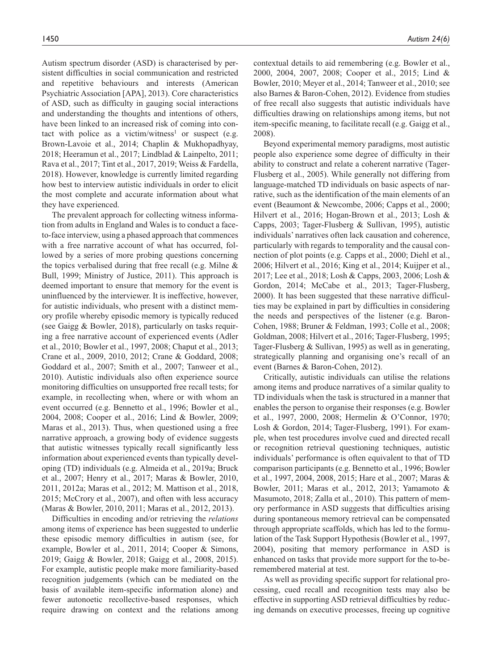Autism spectrum disorder (ASD) is characterised by persistent difficulties in social communication and restricted and repetitive behaviours and interests (American Psychiatric Association [APA], 2013). Core characteristics of ASD, such as difficulty in gauging social interactions and understanding the thoughts and intentions of others, have been linked to an increased risk of coming into contact with police as a victim/witness<sup>1</sup> or suspect (e.g. Brown-Lavoie et al., 2014; Chaplin & Mukhopadhyay, 2018; Heeramun et al., 2017; Lindblad & Lainpelto, 2011; Rava et al., 2017; Tint et al., 2017, 2019; Weiss & Fardella, 2018). However, knowledge is currently limited regarding how best to interview autistic individuals in order to elicit the most complete and accurate information about what they have experienced.

The prevalent approach for collecting witness information from adults in England and Wales is to conduct a faceto-face interview, using a phased approach that commences with a free narrative account of what has occurred, followed by a series of more probing questions concerning the topics verbalised during that free recall (e.g. Milne & Bull, 1999; Ministry of Justice, 2011). This approach is deemed important to ensure that memory for the event is uninfluenced by the interviewer. It is ineffective, however, for autistic individuals, who present with a distinct memory profile whereby episodic memory is typically reduced (see Gaigg & Bowler, 2018), particularly on tasks requiring a free narrative account of experienced events (Adler et al., 2010; Bowler et al., 1997, 2008; Chaput et al., 2013; Crane et al., 2009, 2010, 2012; Crane & Goddard, 2008; Goddard et al., 2007; Smith et al., 2007; Tanweer et al., 2010). Autistic individuals also often experience source monitoring difficulties on unsupported free recall tests; for example, in recollecting when, where or with whom an event occurred (e.g. Bennetto et al., 1996; Bowler et al., 2004, 2008; Cooper et al., 2016; Lind & Bowler, 2009; Maras et al., 2013). Thus, when questioned using a free narrative approach, a growing body of evidence suggests that autistic witnesses typically recall significantly less information about experienced events than typically developing (TD) individuals (e.g. Almeida et al., 2019a; Bruck et al., 2007; Henry et al., 2017; Maras & Bowler, 2010, 2011, 2012a; Maras et al., 2012; M. Mattison et al., 2018, 2015; McCrory et al., 2007), and often with less accuracy (Maras & Bowler, 2010, 2011; Maras et al., 2012, 2013).

Difficulties in encoding and/or retrieving the *relations* among items of experience has been suggested to underlie these episodic memory difficulties in autism (see, for example, Bowler et al., 2011, 2014; Cooper & Simons, 2019; Gaigg & Bowler, 2018; Gaigg et al., 2008, 2015). For example, autistic people make more familiarity-based recognition judgements (which can be mediated on the basis of available item-specific information alone) and fewer autonoetic recollective-based responses, which require drawing on context and the relations among

contextual details to aid remembering (e.g. Bowler et al., 2000, 2004, 2007, 2008; Cooper et al., 2015; Lind & Bowler, 2010; Meyer et al., 2014; Tanweer et al., 2010; see also Barnes & Baron-Cohen, 2012). Evidence from studies of free recall also suggests that autistic individuals have difficulties drawing on relationships among items, but not item-specific meaning, to facilitate recall (e.g. Gaigg et al., 2008).

Beyond experimental memory paradigms, most autistic people also experience some degree of difficulty in their ability to construct and relate a coherent narrative (Tager-Flusberg et al., 2005). While generally not differing from language-matched TD individuals on basic aspects of narrative, such as the identification of the main elements of an event (Beaumont & Newcombe, 2006; Capps et al., 2000; Hilvert et al., 2016; Hogan-Brown et al., 2013; Losh & Capps, 2003; Tager-Flusberg & Sullivan, 1995), autistic individuals' narratives often lack causation and coherence, particularly with regards to temporality and the causal connection of plot points (e.g. Capps et al., 2000; Diehl et al., 2006; Hilvert et al., 2016; King et al., 2014; Kuijper et al., 2017; Lee et al., 2018; Losh & Capps, 2003, 2006; Losh & Gordon, 2014; McCabe et al., 2013; Tager-Flusberg, 2000). It has been suggested that these narrative difficulties may be explained in part by difficulties in considering the needs and perspectives of the listener (e.g. Baron-Cohen, 1988; Bruner & Feldman, 1993; Colle et al., 2008; Goldman, 2008; Hilvert et al., 2016; Tager-Flusberg, 1995; Tager-Flusberg & Sullivan, 1995) as well as in generating, strategically planning and organising one's recall of an event (Barnes & Baron-Cohen, 2012).

Critically, autistic individuals can utilise the relations among items and produce narratives of a similar quality to TD individuals when the task is structured in a manner that enables the person to organise their responses (e.g. Bowler et al., 1997, 2000, 2008; Hermelin & O'Connor, 1970; Losh & Gordon, 2014; Tager-Flusberg, 1991). For example, when test procedures involve cued and directed recall or recognition retrieval questioning techniques, autistic individuals' performance is often equivalent to that of TD comparison participants (e.g. Bennetto et al., 1996; Bowler et al., 1997, 2004, 2008, 2015; Hare et al., 2007; Maras & Bowler, 2011; Maras et al., 2012, 2013; Yamamoto & Masumoto, 2018; Zalla et al., 2010). This pattern of memory performance in ASD suggests that difficulties arising during spontaneous memory retrieval can be compensated through appropriate scaffolds, which has led to the formulation of the Task Support Hypothesis (Bowler et al., 1997, 2004), positing that memory performance in ASD is enhanced on tasks that provide more support for the to-beremembered material at test.

As well as providing specific support for relational processing, cued recall and recognition tests may also be effective in supporting ASD retrieval difficulties by reducing demands on executive processes, freeing up cognitive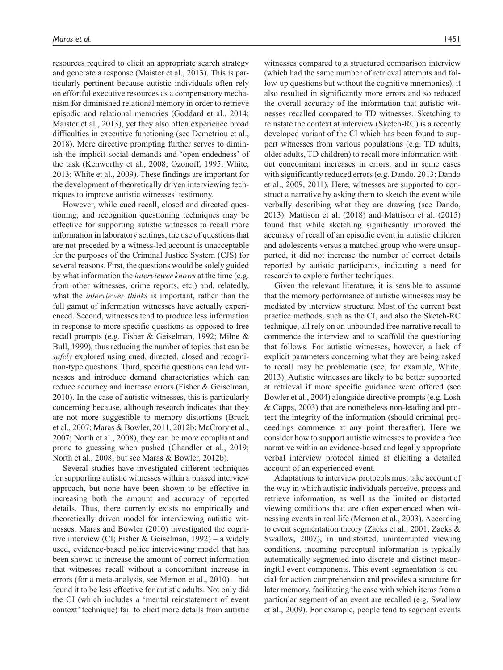resources required to elicit an appropriate search strategy and generate a response (Maister et al., 2013). This is particularly pertinent because autistic individuals often rely on effortful executive resources as a compensatory mechanism for diminished relational memory in order to retrieve episodic and relational memories (Goddard et al., 2014; Maister et al., 2013), yet they also often experience broad difficulties in executive functioning (see Demetriou et al., 2018). More directive prompting further serves to diminish the implicit social demands and 'open-endedness' of the task (Kenworthy et al., 2008; Ozonoff, 1995; White, 2013; White et al., 2009). These findings are important for the development of theoretically driven interviewing techniques to improve autistic witnesses' testimony.

However, while cued recall, closed and directed questioning, and recognition questioning techniques may be effective for supporting autistic witnesses to recall more information in laboratory settings, the use of questions that are not preceded by a witness-led account is unacceptable for the purposes of the Criminal Justice System (CJS) for several reasons. First, the questions would be solely guided by what information the *interviewer knows* at the time (e.g. from other witnesses, crime reports, etc.) and, relatedly, what the *interviewer thinks* is important, rather than the full gamut of information witnesses have actually experienced. Second, witnesses tend to produce less information in response to more specific questions as opposed to free recall prompts (e.g. Fisher & Geiselman, 1992; Milne & Bull, 1999), thus reducing the number of topics that can be *safely* explored using cued, directed, closed and recognition-type questions. Third, specific questions can lead witnesses and introduce demand characteristics which can reduce accuracy and increase errors (Fisher & Geiselman, 2010). In the case of autistic witnesses, this is particularly concerning because, although research indicates that they are not more suggestible to memory distortions (Bruck et al., 2007; Maras & Bowler, 2011, 2012b; McCrory et al., 2007; North et al., 2008), they can be more compliant and prone to guessing when pushed (Chandler et al., 2019; North et al., 2008; but see Maras & Bowler, 2012b).

Several studies have investigated different techniques for supporting autistic witnesses within a phased interview approach, but none have been shown to be effective in increasing both the amount and accuracy of reported details. Thus, there currently exists no empirically and theoretically driven model for interviewing autistic witnesses. Maras and Bowler (2010) investigated the cognitive interview (CI; Fisher & Geiselman, 1992) – a widely used, evidence-based police interviewing model that has been shown to increase the amount of correct information that witnesses recall without a concomitant increase in errors (for a meta-analysis, see Memon et al., 2010) – but found it to be less effective for autistic adults. Not only did the CI (which includes a 'mental reinstatement of event context' technique) fail to elicit more details from autistic

witnesses compared to a structured comparison interview (which had the same number of retrieval attempts and follow-up questions but without the cognitive mnemonics), it also resulted in significantly more errors and so reduced the overall accuracy of the information that autistic witnesses recalled compared to TD witnesses. Sketching to reinstate the context at interview (Sketch-RC) is a recently developed variant of the CI which has been found to support witnesses from various populations (e.g. TD adults, older adults, TD children) to recall more information without concomitant increases in errors, and in some cases with significantly reduced errors (e.g. Dando, 2013; Dando et al., 2009, 2011). Here, witnesses are supported to construct a narrative by asking them to sketch the event while verbally describing what they are drawing (see Dando, 2013). Mattison et al. (2018) and Mattison et al. (2015) found that while sketching significantly improved the accuracy of recall of an episodic event in autistic children and adolescents versus a matched group who were unsupported, it did not increase the number of correct details reported by autistic participants, indicating a need for research to explore further techniques.

Given the relevant literature, it is sensible to assume that the memory performance of autistic witnesses may be mediated by interview structure. Most of the current best practice methods, such as the CI, and also the Sketch-RC technique, all rely on an unbounded free narrative recall to commence the interview and to scaffold the questioning that follows. For autistic witnesses, however, a lack of explicit parameters concerning what they are being asked to recall may be problematic (see, for example, White, 2013). Autistic witnesses are likely to be better supported at retrieval if more specific guidance were offered (see Bowler et al., 2004) alongside directive prompts (e.g. Losh & Capps, 2003) that are nonetheless non-leading and protect the integrity of the information (should criminal proceedings commence at any point thereafter). Here we consider how to support autistic witnesses to provide a free narrative within an evidence-based and legally appropriate verbal interview protocol aimed at eliciting a detailed account of an experienced event.

Adaptations to interview protocols must take account of the way in which autistic individuals perceive, process and retrieve information, as well as the limited or distorted viewing conditions that are often experienced when witnessing events in real life (Memon et al., 2003). According to event segmentation theory (Zacks et al., 2001; Zacks & Swallow, 2007), in undistorted, uninterrupted viewing conditions, incoming perceptual information is typically automatically segmented into discrete and distinct meaningful event components. This event segmentation is crucial for action comprehension and provides a structure for later memory, facilitating the ease with which items from a particular segment of an event are recalled (e.g. Swallow et al., 2009). For example, people tend to segment events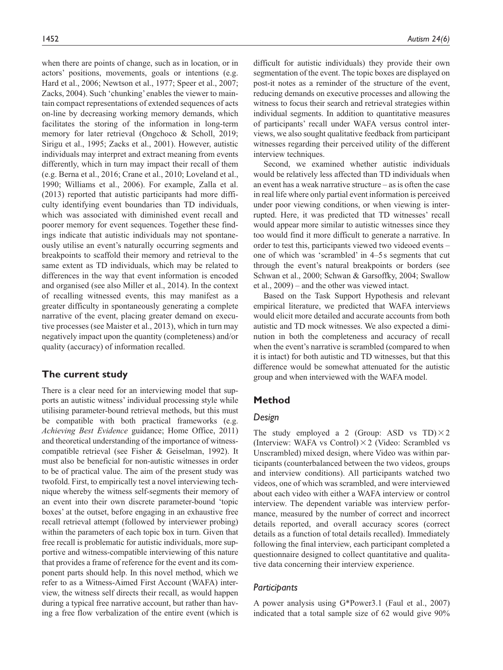when there are points of change, such as in location, or in actors' positions, movements, goals or intentions (e.g. Hard et al., 2006; Newtson et al., 1977; Speer et al., 2007; Zacks, 2004). Such 'chunking' enables the viewer to maintain compact representations of extended sequences of acts on-line by decreasing working memory demands, which facilitates the storing of the information in long-term memory for later retrieval (Ongchoco & Scholl, 2019; Sirigu et al., 1995; Zacks et al., 2001). However, autistic individuals may interpret and extract meaning from events differently, which in turn may impact their recall of them (e.g. Berna et al., 2016; Crane et al., 2010; Loveland et al., 1990; Williams et al., 2006). For example, Zalla et al. (2013) reported that autistic participants had more difficulty identifying event boundaries than TD individuals, which was associated with diminished event recall and poorer memory for event sequences. Together these findings indicate that autistic individuals may not spontaneously utilise an event's naturally occurring segments and breakpoints to scaffold their memory and retrieval to the same extent as TD individuals, which may be related to differences in the way that event information is encoded and organised (see also Miller et al., 2014). In the context of recalling witnessed events, this may manifest as a greater difficulty in spontaneously generating a complete narrative of the event, placing greater demand on executive processes (see Maister et al., 2013), which in turn may negatively impact upon the quantity (completeness) and/or quality (accuracy) of information recalled.

# **The current study**

There is a clear need for an interviewing model that supports an autistic witness' individual processing style while utilising parameter-bound retrieval methods, but this must be compatible with both practical frameworks (e.g. *Achieving Best Evidence* guidance; Home Office, 2011) and theoretical understanding of the importance of witnesscompatible retrieval (see Fisher & Geiselman, 1992). It must also be beneficial for non-autistic witnesses in order to be of practical value. The aim of the present study was twofold. First, to empirically test a novel interviewing technique whereby the witness self-segments their memory of an event into their own discrete parameter-bound 'topic boxes' at the outset, before engaging in an exhaustive free recall retrieval attempt (followed by interviewer probing) within the parameters of each topic box in turn. Given that free recall is problematic for autistic individuals, more supportive and witness-compatible interviewing of this nature that provides a frame of reference for the event and its component parts should help. In this novel method, which we refer to as a Witness-Aimed First Account (WAFA) interview, the witness self directs their recall, as would happen during a typical free narrative account, but rather than having a free flow verbalization of the entire event (which is

difficult for autistic individuals) they provide their own segmentation of the event. The topic boxes are displayed on post-it notes as a reminder of the structure of the event, reducing demands on executive processes and allowing the witness to focus their search and retrieval strategies within individual segments. In addition to quantitative measures of participants' recall under WAFA versus control interviews, we also sought qualitative feedback from participant witnesses regarding their perceived utility of the different interview techniques.

Second, we examined whether autistic individuals would be relatively less affected than TD individuals when an event has a weak narrative structure – as is often the case in real life where only partial event information is perceived under poor viewing conditions, or when viewing is interrupted. Here, it was predicted that TD witnesses' recall would appear more similar to autistic witnesses since they too would find it more difficult to generate a narrative. In order to test this, participants viewed two videoed events – one of which was 'scrambled' in 4–5s segments that cut through the event's natural breakpoints or borders (see Schwan et al., 2000; Schwan & Garsoffky, 2004; Swallow et al., 2009) – and the other was viewed intact.

Based on the Task Support Hypothesis and relevant empirical literature, we predicted that WAFA interviews would elicit more detailed and accurate accounts from both autistic and TD mock witnesses. We also expected a diminution in both the completeness and accuracy of recall when the event's narrative is scrambled (compared to when it is intact) for both autistic and TD witnesses, but that this difference would be somewhat attenuated for the autistic group and when interviewed with the WAFA model.

# **Method**

# *Design*

The study employed a 2 (Group: ASD vs TD) $\times$ 2 (Interview: WAFA vs Control) $\times$ 2 (Video: Scrambled vs Unscrambled) mixed design, where Video was within participants (counterbalanced between the two videos, groups and interview conditions). All participants watched two videos, one of which was scrambled, and were interviewed about each video with either a WAFA interview or control interview. The dependent variable was interview performance, measured by the number of correct and incorrect details reported, and overall accuracy scores (correct details as a function of total details recalled). Immediately following the final interview, each participant completed a questionnaire designed to collect quantitative and qualitative data concerning their interview experience.

# *Participants*

A power analysis using G\*Power3.1 (Faul et al., 2007) indicated that a total sample size of 62 would give 90%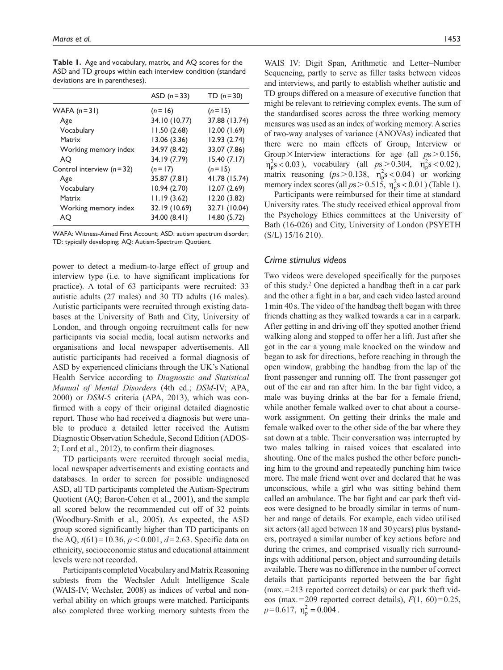|                            | $ASD (n=33)$  | TD $(n=30)$   |
|----------------------------|---------------|---------------|
| WAFA $(n=31)$              | $(n = 16)$    | $(n=15)$      |
| Age                        | 34.10 (10.77) | 37.88 (13.74) |
| Vocabulary                 | 11.50(2.68)   | 12.00 (1.69)  |
| Matrix                     | 13.06(3.36)   | 12.93(2.74)   |
| Working memory index       | 34.97 (8.42)  | 33.07 (7.86)  |
| AO                         | 34.19 (7.79)  | 15.40(7.17)   |
| Control interview $(n=32)$ | $(n=17)$      | $(n = 15)$    |
| Age                        | 35.87 (7.81)  | 41.78 (15.74) |
| Vocabulary                 | 10.94(2.70)   | 12.07 (2.69)  |
| Matrix                     | 11.19(3.62)   | 12.20 (3.82)  |
| Working memory index       | 32.19 (10.69) | 32.71 (10.04) |
| AO                         | 34.00 (8.41)  | 14.80 (5.72)  |

**Table 1.** Age and vocabulary, matrix, and AQ scores for the ASD and TD groups within each interview condition (standard deviations are in parentheses).

WAFA: Witness-Aimed First Account; ASD: autism spectrum disorder; TD: typically developing; AQ: Autism-Spectrum Quotient.

power to detect a medium-to-large effect of group and interview type (i.e. to have significant implications for practice). A total of 63 participants were recruited: 33 autistic adults (27 males) and 30 TD adults (16 males). Autistic participants were recruited through existing databases at the University of Bath and City, University of London, and through ongoing recruitment calls for new participants via social media, local autism networks and organisations and local newspaper advertisements. All autistic participants had received a formal diagnosis of ASD by experienced clinicians through the UK's National Health Service according to *Diagnostic and Statistical Manual of Mental Disorders* (4th ed.; *DSM*-IV; APA, 2000) or *DSM*-5 criteria (APA, 2013), which was confirmed with a copy of their original detailed diagnostic report. Those who had received a diagnosis but were unable to produce a detailed letter received the Autism Diagnostic Observation Schedule, Second Edition (ADOS-2; Lord et al., 2012), to confirm their diagnoses.

TD participants were recruited through social media, local newspaper advertisements and existing contacts and databases. In order to screen for possible undiagnosed ASD, all TD participants completed the Autism-Spectrum Quotient (AQ; Baron-Cohen et al., 2001), and the sample all scored below the recommended cut off of 32 points (Woodbury-Smith et al., 2005). As expected, the ASD group scored significantly higher than TD participants on the AQ, *t*(61)=10.36, *p*<0.001, *d*=2.63. Specific data on ethnicity, socioeconomic status and educational attainment levels were not recorded.

Participants completed Vocabulary and Matrix Reasoning subtests from the Wechsler Adult Intelligence Scale (WAIS-IV; Wechsler, 2008) as indices of verbal and nonverbal ability on which groups were matched. Participants also completed three working memory subtests from the

WAIS IV: Digit Span, Arithmetic and Letter–Number Sequencing, partly to serve as filler tasks between videos and interviews, and partly to establish whether autistic and TD groups differed on a measure of executive function that might be relevant to retrieving complex events. The sum of the standardised scores across the three working memory measures was used as an index of working memory. A series of two-way analyses of variance (ANOVAs) indicated that there were no main effects of Group, Interview or Group  $\times$  Interview interactions for age (all  $p_s > 0.156$ ,  $\eta_{\rm p}^2$ s < 0.03 ), vocabulary (all  $ps > 0.304$ ,  $\eta_{\rm p}^2$ s < 0.02 ), matrix reasoning  $(ps > 0.138, \eta_p^2 s < 0.04)$  or working memory index scores (all  $ps > 0.515$ ,  $\eta_p^2 s < 0.01$ ) (Table 1).

Participants were reimbursed for their time at standard University rates. The study received ethical approval from the Psychology Ethics committees at the University of Bath (16-026) and City, University of London (PSYETH (S/L) 15/16 210).

### *Crime stimulus videos*

Two videos were developed specifically for the purposes of this study.<sup>2</sup> One depicted a handbag theft in a car park and the other a fight in a bar, and each video lasted around 1min 40s. The video of the handbag theft began with three friends chatting as they walked towards a car in a carpark. After getting in and driving off they spotted another friend walking along and stopped to offer her a lift. Just after she got in the car a young male knocked on the window and began to ask for directions, before reaching in through the open window, grabbing the handbag from the lap of the front passenger and running off. The front passenger got out of the car and ran after him. In the bar fight video, a male was buying drinks at the bar for a female friend, while another female walked over to chat about a coursework assignment. On getting their drinks the male and female walked over to the other side of the bar where they sat down at a table. Their conversation was interrupted by two males talking in raised voices that escalated into shouting. One of the males pushed the other before punching him to the ground and repeatedly punching him twice more. The male friend went over and declared that he was unconscious, while a girl who was sitting behind them called an ambulance. The bar fight and car park theft videos were designed to be broadly similar in terms of number and range of details. For example, each video utilised six actors (all aged between 18 and 30years) plus bystanders, portrayed a similar number of key actions before and during the crimes, and comprised visually rich surroundings with additional person, object and surrounding details available. There was no difference in the number of correct details that participants reported between the bar fight (max.=213 reported correct details) or car park theft videos (max.=209 reported correct details),  $F(1, 60) = 0.25$ ,  $p=0.617$ ,  $\eta_p^2=0.004$ .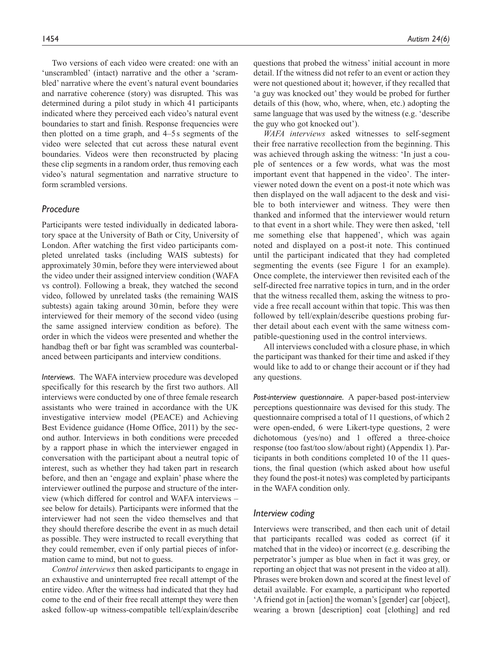Two versions of each video were created: one with an 'unscrambled' (intact) narrative and the other a 'scrambled' narrative where the event's natural event boundaries and narrative coherence (story) was disrupted. This was determined during a pilot study in which 41 participants indicated where they perceived each video's natural event boundaries to start and finish. Response frequencies were then plotted on a time graph, and 4–5 s segments of the video were selected that cut across these natural event boundaries. Videos were then reconstructed by placing these clip segments in a random order, thus removing each video's natural segmentation and narrative structure to form scrambled versions.

### *Procedure*

Participants were tested individually in dedicated laboratory space at the University of Bath or City, University of London. After watching the first video participants completed unrelated tasks (including WAIS subtests) for approximately 30min, before they were interviewed about the video under their assigned interview condition (WAFA vs control). Following a break, they watched the second video, followed by unrelated tasks (the remaining WAIS subtests) again taking around 30min, before they were interviewed for their memory of the second video (using the same assigned interview condition as before). The order in which the videos were presented and whether the handbag theft or bar fight was scrambled was counterbalanced between participants and interview conditions.

*Interviews.* The WAFA interview procedure was developed specifically for this research by the first two authors. All interviews were conducted by one of three female research assistants who were trained in accordance with the UK investigative interview model (PEACE) and Achieving Best Evidence guidance (Home Office, 2011) by the second author. Interviews in both conditions were preceded by a rapport phase in which the interviewer engaged in conversation with the participant about a neutral topic of interest, such as whether they had taken part in research before, and then an 'engage and explain' phase where the interviewer outlined the purpose and structure of the interview (which differed for control and WAFA interviews – see below for details). Participants were informed that the interviewer had not seen the video themselves and that they should therefore describe the event in as much detail as possible. They were instructed to recall everything that they could remember, even if only partial pieces of information came to mind, but not to guess.

*Control interviews* then asked participants to engage in an exhaustive and uninterrupted free recall attempt of the entire video. After the witness had indicated that they had come to the end of their free recall attempt they were then asked follow-up witness-compatible tell/explain/describe

questions that probed the witness' initial account in more detail. If the witness did not refer to an event or action they were not questioned about it; however, if they recalled that 'a guy was knocked out' they would be probed for further details of this (how, who, where, when, etc.) adopting the same language that was used by the witness (e.g. 'describe the guy who got knocked out').

*WAFA interviews* asked witnesses to self-segment their free narrative recollection from the beginning. This was achieved through asking the witness: 'In just a couple of sentences or a few words, what was the most important event that happened in the video'. The interviewer noted down the event on a post-it note which was then displayed on the wall adjacent to the desk and visible to both interviewer and witness. They were then thanked and informed that the interviewer would return to that event in a short while. They were then asked, 'tell me something else that happened', which was again noted and displayed on a post-it note. This continued until the participant indicated that they had completed segmenting the events (see Figure 1 for an example). Once complete, the interviewer then revisited each of the self-directed free narrative topics in turn, and in the order that the witness recalled them, asking the witness to provide a free recall account within that topic. This was then followed by tell/explain/describe questions probing further detail about each event with the same witness compatible-questioning used in the control interviews.

All interviews concluded with a closure phase, in which the participant was thanked for their time and asked if they would like to add to or change their account or if they had any questions.

*Post-interview questionnaire.* A paper-based post-interview perceptions questionnaire was devised for this study. The questionnaire comprised a total of 11 questions, of which 2 were open-ended, 6 were Likert-type questions, 2 were dichotomous (yes/no) and 1 offered a three-choice response (too fast/too slow/about right) (Appendix 1). Participants in both conditions completed 10 of the 11 questions, the final question (which asked about how useful they found the post-it notes) was completed by participants in the WAFA condition only.

### *Interview coding*

Interviews were transcribed, and then each unit of detail that participants recalled was coded as correct (if it matched that in the video) or incorrect (e.g. describing the perpetrator's jumper as blue when in fact it was grey, or reporting an object that was not present in the video at all). Phrases were broken down and scored at the finest level of detail available. For example, a participant who reported 'A friend got in [action] the woman's [gender] car [object], wearing a brown [description] coat [clothing] and red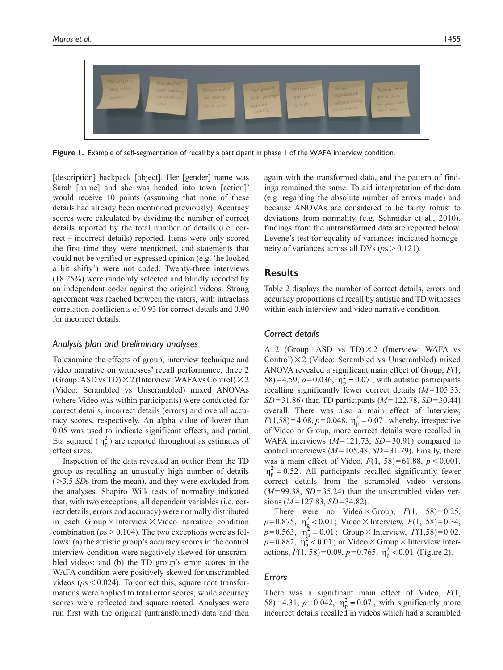

**Figure 1.** Example of self-segmentation of recall by a participant in phase 1 of the WAFA interview condition.

[description] backpack [object]. Her [gender] name was Sarah [name] and she was headed into town [action]' would receive 10 points (assuming that none of these details had already been mentioned previously). Accuracy scores were calculated by dividing the number of correct details reported by the total number of details (i.e. correct + incorrect details) reported. Items were only scored the first time they were mentioned, and statements that could not be verified or expressed opinion (e.g. 'he looked a bit shifty') were not coded. Twenty-three interviews (18.25%) were randomly selected and blindly recoded by an independent coder against the original videos. Strong agreement was reached between the raters, with intraclass correlation coefficients of 0.93 for correct details and 0.90 for incorrect details.

### *Analysis plan and preliminary analyses*

To examine the effects of group, interview technique and video narrative on witnesses' recall performance, three 2 (Group: ASD vs TD)  $\times$  2 (Interview: WAFA vs Control)  $\times$  2 (Video: Scrambled vs Unscrambled) mixed ANOVAs (where Video was within participants) were conducted for correct details, incorrect details (errors) and overall accuracy scores, respectively. An alpha value of lower than 0.05 was used to indicate significant effects, and partial Eta squared  $(\eta_p^2)$  are reported throughout as estimates of effect sizes.

Inspection of the data revealed an outlier from the TD group as recalling an unusually high number of details (>3.5 *SD*s from the mean), and they were excluded from the analyses. Shapiro–Wilk tests of normality indicated that, with two exceptions, all dependent variables (i.e. correct details, errors and accuracy) were normally distributed in each Group  $\times$  Interview  $\times$  Video narrative condition combination (*p*s>0.104). The two exceptions were as follows: (a) the autistic group's accuracy scores in the control interview condition were negatively skewed for unscrambled videos; and (b) the TD group's error scores in the WAFA condition were positively skewed for unscrambled videos ( $ps < 0.024$ ). To correct this, square root transformations were applied to total error scores, while accuracy scores were reflected and square rooted. Analyses were run first with the original (untransformed) data and then

again with the transformed data, and the pattern of findings remained the same. To aid interpretation of the data (e.g. regarding the absolute number of errors made) and because ANOVAs are considered to be fairly robust to deviations from normality (e.g. Schmider et al., 2010), findings from the untransformed data are reported below. Levene's test for equality of variances indicated homogeneity of variances across all DVs (*p*s>0.121).

### **Results**

Table 2 displays the number of correct details, errors and accuracy proportions of recall by autistic and TD witnesses within each interview and video narrative condition.

### *Correct details*

A 2 (Group: ASD vs TD) $\times$ 2 (Interview: WAFA vs Control) $\times$ 2 (Video: Scrambled vs Unscrambled) mixed ANOVA revealed a significant main effect of Group, *F*(1, 58)=4.59,  $p=0.036$ ,  $\eta_p^2 = 0.07$ , with autistic participants recalling significantly fewer correct details (*M*=105.33, *SD*=31.86) than TD participants (*M*=122.78, *SD*=30.44) overall. There was also a main effect of Interview,  $F(1,58) = 4.08, p=0.048, \eta_p^2 = 0.07$ , whereby, irrespective of Video or Group, more correct details were recalled in WAFA interviews (*M*=121.73, *SD*=30.91) compared to control interviews (*M*=105.48, *SD*=31.79). Finally, there was a main effect of Video, *F*(1, 58)=61.88, *p*<0.001,  $\eta_p^2 = 0.52$ . All participants recalled significantly fewer correct details from the scrambled video versions  $(M=99.38, SD=35.24)$  than the unscrambled video versions (*M*=127.83, *SD*=34.82).

There were no Video $\times$ Group,  $F(1, 58)=0.25$ ,  $p=0.875$ ,  $\eta_{\rm p}^2 < 0.01$ ; Video × Interview,  $F(1, 58)=0.34$ ,  $p=0.563$ ,  $\eta_p^2 = 0.01$ ; Group × Interview,  $F(1,58)=0.02$ ,  $p=0.882$ ,  $\eta_p^2 < 0.01$ ; or Video  $\times$  Group  $\times$  Interview interactions,  $F(1, 58) = 0.09$ ,  $p = 0.765$ ,  $\eta_p^2 < 0.01$  (Figure 2).

### *Errors*

There was a significant main effect of Video, *F*(1, 58)=4.31,  $p=0.042$ ,  $\eta_p^2 = 0.07$ , with significantly more incorrect details recalled in videos which had a scrambled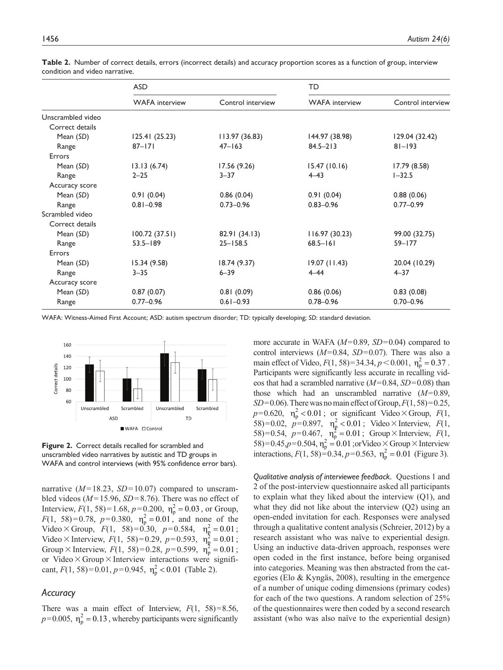|                   | <b>ASD</b>            |                   | TD                    |                   |
|-------------------|-----------------------|-------------------|-----------------------|-------------------|
|                   | <b>WAFA</b> interview | Control interview | <b>WAFA</b> interview | Control interview |
| Unscrambled video |                       |                   |                       |                   |
| Correct details   |                       |                   |                       |                   |
| Mean (SD)         | 125.41(25.23)         | 113.97 (36.83)    | 144.97 (38.98)        | 129.04 (32.42)    |
| Range             | $87 - 171$            | $47 - 163$        | $84.5 - 213$          | $81 - 193$        |
| Errors            |                       |                   |                       |                   |
| Mean (SD)         | 13.13(6.74)           | 17.56 (9.26)      | 15.47(10.16)          | 17.79 (8.58)      |
| Range             | $2 - 25$              | $3 - 37$          | $4 - 43$              | $1 - 32.5$        |
| Accuracy score    |                       |                   |                       |                   |
| Mean (SD)         | 0.91(0.04)            | 0.86(0.04)        | 0.91(0.04)            | 0.88(0.06)        |
| Range             | $0.81 - 0.98$         | $0.73 - 0.96$     | $0.83 - 0.96$         | $0.77 - 0.99$     |
| Scrambled video   |                       |                   |                       |                   |
| Correct details   |                       |                   |                       |                   |
| Mean (SD)         | 100.72(37.51)         | 82.91 (34.13)     | 116.97(30.23)         | 99.00 (32.75)     |
| Range             | $53.5 - 189$          | $25 - 158.5$      | $68.5 - 161$          | $59 - 177$        |
| Errors            |                       |                   |                       |                   |
| Mean (SD)         | 15.34(9.58)           | 18.74 (9.37)      | 19.07(11.43)          | 20.04 (10.29)     |
| Range             | $3 - 35$              | $6 - 39$          | $4 - 44$              | $4 - 37$          |
| Accuracy score    |                       |                   |                       |                   |
| Mean (SD)         | 0.87(0.07)            | 0.81(0.09)        | 0.86(0.06)            | 0.83(0.08)        |
| Range             | $0.77 - 0.96$         | $0.61 - 0.93$     | $0.78 - 0.96$         | $0.70 - 0.96$     |

**Table 2.** Number of correct details, errors (incorrect details) and accuracy proportion scores as a function of group, interview condition and video narrative.

WAFA: Witness-Aimed First Account; ASD: autism spectrum disorder; TD: typically developing; *SD*: standard deviation.



**Figure 2.** Correct details recalled for scrambled and unscrambled video narratives by autistic and TD groups in WAFA and control interviews (with 95% confidence error bars).

narrative  $(M=18.23, SD=10.07)$  compared to unscrambled videos (*M*=15.96, *SD*=8.76). There was no effect of Interview,  $F(1, 58) = 1.68$ ,  $p = 0.200$ ,  $\eta_p^2 = 0.03$ , or Group, *F*(1, 58)=0.78, *p*=0.380,  $\eta_p^2 = 0.01$ , and none of the Video  $\times$  Group,  $F(1, 58) = 0.30$ ,  $p=0.584$ ,  $\eta_p^2 = 0.01$ ; Video × Interview,  $F(1, 58) = 0.29$ ,  $p=0.593$ ,  $\eta_{p}^{2} = 0.01$ ; Group × Interview,  $F(1, 58)=0.28$ ,  $p=0.599$ ,  $\eta_p^2 = 0.01$ ; or Video $\times$ Group $\times$ Interview interactions were significant,  $F(1, 58) = 0.01$ ,  $p = 0.945$ ,  $\eta_p^2 < 0.01$  (Table 2).

### *Accuracy*

There was a main effect of Interview, *F*(1, 58)=8.56,  $p=0.005$ ,  $\eta_p^2 = 0.13$ , whereby participants were significantly more accurate in WAFA ( $M=0.89$ ,  $SD=0.04$ ) compared to control interviews (*M*=0.84, *SD*=0.07). There was also a main effect of Video,  $F(1, 58)=34.34, p<0.001, \eta_p^2=0.37$ . Participants were significantly less accurate in recalling videos that had a scrambled narrative (*M*=0.84, *SD*=0.08) than those which had an unscrambled narrative (*M*=0.89,  $SD=0.06$ ). There was no main effect of Group,  $F(1, 58)=0.25$ ,  $p=0.620$ ,  $\eta_p^2 < 0.01$ ; or significant Video×Group,  $F(1,$ 58)=0.02,  $p=0.897$ ,  $\eta_p^2 < 0.01$ ; Video × Interview,  $F(1,$ 58)=0.54,  $p=0.467$ ,  $\eta_p^2 = 0.01$ ; Group × Interview,  $F(1,$ 58)=0.45, $p=0.504$ ,  $\eta_p^2 = 0.01$ ; or Video  $\times$  Group  $\times$  Interview interactions,  $F(1, 58) = 0.34$ ,  $p=0.563$ ,  $\eta_p^2 = 0.01$  (Figure 3).

*Qualitative analysis of interviewee feedback.* Questions 1 and 2 of the post-interview questionnaire asked all participants to explain what they liked about the interview (Q1), and what they did not like about the interview (Q2) using an open-ended invitation for each. Responses were analysed through a qualitative content analysis (Schreier, 2012) by a research assistant who was naïve to experiential design. Using an inductive data-driven approach, responses were open coded in the first instance, before being organised into categories. Meaning was then abstracted from the categories (Elo & Kyngäs, 2008), resulting in the emergence of a number of unique coding dimensions (primary codes) for each of the two questions. A random selection of 25% of the questionnaires were then coded by a second research assistant (who was also naïve to the experiential design)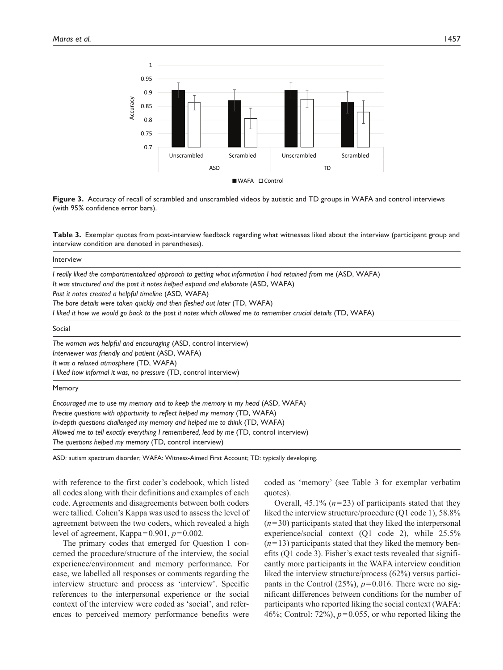

**Figure 3.** Accuracy of recall of scrambled and unscrambled videos by autistic and TD groups in WAFA and control interviews (with 95% confidence error bars).

**Table 3.** Exemplar quotes from post-interview feedback regarding what witnesses liked about the interview (participant group and interview condition are denoted in parentheses).

#### Interview

| I really liked the compartmentalized approach to getting what information I had retained from me (ASD, WAFA) |
|--------------------------------------------------------------------------------------------------------------|
| It was structured and the post it notes helped expand and elaborate (ASD, WAFA)                              |
| Post it notes created a helpful timeline (ASD, WAFA)                                                         |
| The bare details were taken quickly and then fleshed out later (TD, WAFA)                                    |
| I liked it how we would go back to the post it notes which allowed me to remember crucial details (TD, WAFA) |
| Social                                                                                                       |

*The woman was helpful and encouraging* (ASD, control interview) *Interviewer was friendly and patient* (ASD, WAFA) *It was a relaxed atmosphere* (TD, WAFA) *I liked how informal it was, no pressure* (TD, control interview)

Memory

*Encouraged me to use my memory and to keep the memory in my head* (ASD, WAFA) *Precise questions with opportunity to reflect helped my memory* (TD, WAFA) *In-depth questions challenged my memory and helped me to think* (TD, WAFA) *Allowed me to tell exactly everything I remembered, lead by me* (TD, control interview) *The questions helped my memory* (TD, control interview)

ASD: autism spectrum disorder; WAFA: Witness-Aimed First Account; TD: typically developing.

with reference to the first coder's codebook, which listed all codes along with their definitions and examples of each code. Agreements and disagreements between both coders were tallied. Cohen's Kappa was used to assess the level of agreement between the two coders, which revealed a high level of agreement, Kappa=0.901, *p*=0.002.

The primary codes that emerged for Question 1 concerned the procedure/structure of the interview, the social experience/environment and memory performance. For ease, we labelled all responses or comments regarding the interview structure and process as 'interview'. Specific references to the interpersonal experience or the social context of the interview were coded as 'social', and references to perceived memory performance benefits were

coded as 'memory' (see Table 3 for exemplar verbatim quotes).

Overall,  $45.1\%$  ( $n=23$ ) of participants stated that they liked the interview structure/procedure (Q1 code 1), 58.8%  $(n=30)$  participants stated that they liked the interpersonal experience/social context (Q1 code 2), while 25.5%  $(n=13)$  participants stated that they liked the memory benefits (Q1 code 3). Fisher's exact tests revealed that significantly more participants in the WAFA interview condition liked the interview structure/process (62%) versus participants in the Control  $(25\%)$ ,  $p=0.016$ . There were no significant differences between conditions for the number of participants who reported liking the social context (WAFA: 46%; Control: 72%),  $p=0.055$ , or who reported liking the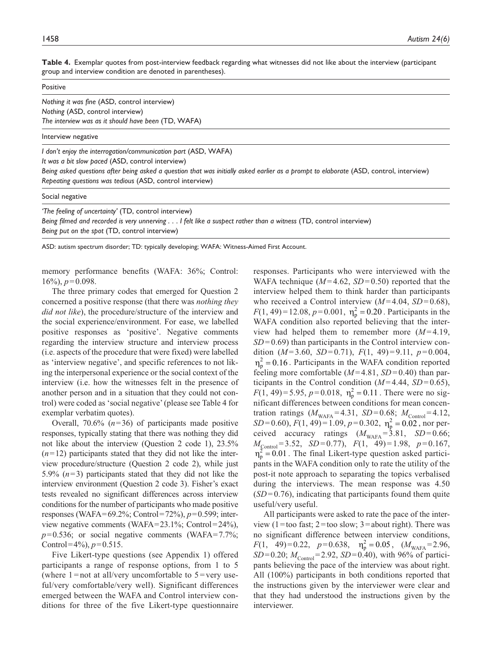**Table 4.** Exemplar quotes from post-interview feedback regarding what witnesses did not like about the interview (participant group and interview condition are denoted in parentheses).

| Positive                                                                                                                               |
|----------------------------------------------------------------------------------------------------------------------------------------|
| Nothing it was fine (ASD, control interview)                                                                                           |
| Nothing (ASD, control interview)                                                                                                       |
| The interview was as it should have been (TD, WAFA)                                                                                    |
| Interview negative                                                                                                                     |
| I don't enjoy the interrogation/communication part (ASD, WAFA)                                                                         |
| It was a bit slow paced (ASD, control interview)                                                                                       |
| Being asked questions after being asked a question that was initially asked earlier as a prompt to elaborate (ASD, control, interview) |
| Repeating questions was tedious (ASD, control interview)                                                                               |
| Social negative                                                                                                                        |
| 'The feeling of uncertainty' (TD, control interview)                                                                                   |

*Being filmed and recorded is very unnerving . . . I felt like a suspect rather than a witness* (TD, control interview) *Being put on the spot* (TD, control interview)

ASD: autism spectrum disorder; TD: typically developing; WAFA: Witness-Aimed First Account.

memory performance benefits (WAFA: 36%; Control:  $16\%$ ,  $p=0.098$ .

The three primary codes that emerged for Question 2 concerned a positive response (that there was *nothing they did not like*), the procedure/structure of the interview and the social experience/environment. For ease, we labelled positive responses as 'positive'. Negative comments regarding the interview structure and interview process (i.e. aspects of the procedure that were fixed) were labelled as 'interview negative', and specific references to not liking the interpersonal experience or the social context of the interview (i.e. how the witnesses felt in the presence of another person and in a situation that they could not control) were coded as 'social negative' (please see Table 4 for exemplar verbatim quotes).

Overall,  $70.6\%$  ( $n=36$ ) of participants made positive responses, typically stating that there was nothing they did not like about the interview (Question 2 code 1), 23.5%  $(n=12)$  participants stated that they did not like the interview procedure/structure (Question 2 code 2), while just 5.9% (*n*=3) participants stated that they did not like the interview environment (Question 2 code 3). Fisher's exact tests revealed no significant differences across interview conditions for the number of participants who made positive responses (WAFA=69.2%; Control=72%), *p*=0.599; interview negative comments (WAFA=23.1%; Control=24%),  $p=0.536$ ; or social negative comments (WAFA=7.7%; Control=4%),  $p=0.515$ .

Five Likert-type questions (see Appendix 1) offered participants a range of response options, from 1 to 5 (where  $1 = not$  at all/very uncomfortable to  $5 = very$  useful/very comfortable/very well). Significant differences emerged between the WAFA and Control interview conditions for three of the five Likert-type questionnaire

responses. Participants who were interviewed with the WAFA technique  $(M=4.62, SD=0.50)$  reported that the interview helped them to think harder than participants who received a Control interview  $(M=4.04, SD=0.68)$ ,  $F(1, 49) = 12.08, p = 0.001, \eta_p^2 = 0.20$ . Participants in the WAFA condition also reported believing that the interview had helped them to remember more  $(M=4.19,$  $SD = 0.69$ ) than participants in the Control interview condition ( $M=3.60$ ,  $SD=0.71$ ),  $F(1, 49)=9.11$ ,  $p=0.004$ ,  $\eta_p^2 = 0.16$ . Participants in the WAFA condition reported feeling more comfortable  $(M=4.81, SD=0.40)$  than participants in the Control condition  $(M=4.44, SD=0.65)$ ,  $F(1, 49) = 5.95, p = 0.018, \eta_p^2 = 0.11$ . There were no significant differences between conditions for mean concentration ratings  $(M_{\text{WAFA}} = 4.31, SD = 0.68; M_{\text{Control}} = 4.12,$  $SD = 0.60$ ,  $F(1, 49) = 1.09$ ,  $p = 0.302$ ,  $\eta_p^2 = 0.02$ , nor perceived accuracy ratings  $(M_{\text{WAFA}} = 3.81, SD = 0.66;$  $M_{\text{Control}} = 3.52$ , *SD* = 0.77), *F*(1, 49) = 1.98, *p* = 0.167,  $\eta_{p}^{2} = 0.01$ . The final Likert-type question asked participants in the WAFA condition only to rate the utility of the post-it note approach to separating the topics verbalised during the interviews. The mean response was 4.50  $(SD=0.76)$ , indicating that participants found them quite useful/very useful.

All participants were asked to rate the pace of the interview (1=too fast; 2=too slow; 3=about right). There was no significant difference between interview conditions, *F*(1, 49)=0.22,  $p=0.638$ ,  $\eta_p^2 = 0.05$ ,  $(M_{\text{WAFA}} = 2.96$ , *SD*=0.20;  $M_{\text{Control}}$ =2.92, *SD*=0.40), with 96% of participants believing the pace of the interview was about right. All (100%) participants in both conditions reported that the instructions given by the interviewer were clear and that they had understood the instructions given by the interviewer.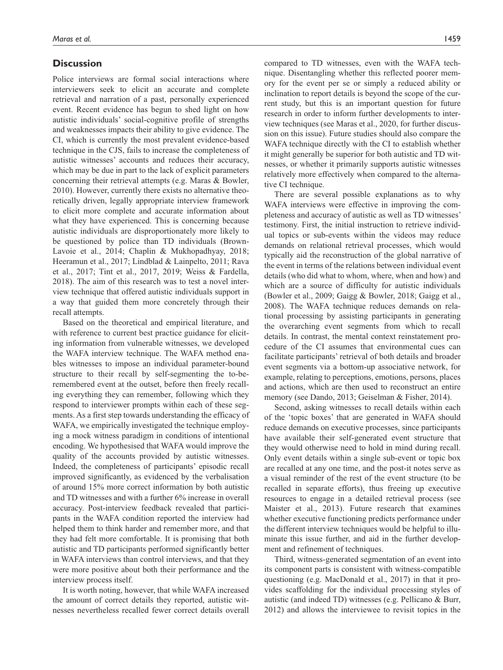### **Discussion**

Police interviews are formal social interactions where interviewers seek to elicit an accurate and complete retrieval and narration of a past, personally experienced event. Recent evidence has begun to shed light on how autistic individuals' social-cognitive profile of strengths and weaknesses impacts their ability to give evidence. The CI, which is currently the most prevalent evidence-based technique in the CJS, fails to increase the completeness of autistic witnesses' accounts and reduces their accuracy, which may be due in part to the lack of explicit parameters concerning their retrieval attempts (e.g. Maras & Bowler, 2010). However, currently there exists no alternative theoretically driven, legally appropriate interview framework to elicit more complete and accurate information about what they have experienced. This is concerning because autistic individuals are disproportionately more likely to be questioned by police than TD individuals (Brown-Lavoie et al., 2014; Chaplin & Mukhopadhyay, 2018; Heeramun et al., 2017; Lindblad & Lainpelto, 2011; Rava et al., 2017; Tint et al., 2017, 2019; Weiss & Fardella, 2018). The aim of this research was to test a novel interview technique that offered autistic individuals support in a way that guided them more concretely through their recall attempts.

Based on the theoretical and empirical literature, and with reference to current best practice guidance for eliciting information from vulnerable witnesses, we developed the WAFA interview technique. The WAFA method enables witnesses to impose an individual parameter-bound structure to their recall by self-segmenting the to-beremembered event at the outset, before then freely recalling everything they can remember, following which they respond to interviewer prompts within each of these segments. As a first step towards understanding the efficacy of WAFA, we empirically investigated the technique employing a mock witness paradigm in conditions of intentional encoding. We hypothesised that WAFA would improve the quality of the accounts provided by autistic witnesses. Indeed, the completeness of participants' episodic recall improved significantly, as evidenced by the verbalisation of around 15% more correct information by both autistic and TD witnesses and with a further 6% increase in overall accuracy. Post-interview feedback revealed that participants in the WAFA condition reported the interview had helped them to think harder and remember more, and that they had felt more comfortable. It is promising that both autistic and TD participants performed significantly better in WAFA interviews than control interviews, and that they were more positive about both their performance and the interview process itself.

It is worth noting, however, that while WAFA increased the amount of correct details they reported, autistic witnesses nevertheless recalled fewer correct details overall

compared to TD witnesses, even with the WAFA technique. Disentangling whether this reflected poorer memory for the event per se or simply a reduced ability or inclination to report details is beyond the scope of the current study, but this is an important question for future research in order to inform further developments to interview techniques (see Maras et al., 2020, for further discussion on this issue). Future studies should also compare the WAFA technique directly with the CI to establish whether it might generally be superior for both autistic and TD witnesses, or whether it primarily supports autistic witnesses relatively more effectively when compared to the alternative CI technique.

There are several possible explanations as to why WAFA interviews were effective in improving the completeness and accuracy of autistic as well as TD witnesses' testimony. First, the initial instruction to retrieve individual topics or sub-events within the videos may reduce demands on relational retrieval processes, which would typically aid the reconstruction of the global narrative of the event in terms of the relations between individual event details (who did what to whom, where, when and how) and which are a source of difficulty for autistic individuals (Bowler et al., 2009; Gaigg & Bowler, 2018; Gaigg et al., 2008). The WAFA technique reduces demands on relational processing by assisting participants in generating the overarching event segments from which to recall details. In contrast, the mental context reinstatement procedure of the CI assumes that environmental cues can facilitate participants' retrieval of both details and broader event segments via a bottom-up associative network, for example, relating to perceptions, emotions, persons, places and actions, which are then used to reconstruct an entire memory (see Dando, 2013; Geiselman & Fisher, 2014).

Second, asking witnesses to recall details within each of the 'topic boxes' that are generated in WAFA should reduce demands on executive processes, since participants have available their self-generated event structure that they would otherwise need to hold in mind during recall. Only event details within a single sub-event or topic box are recalled at any one time, and the post-it notes serve as a visual reminder of the rest of the event structure (to be recalled in separate efforts), thus freeing up executive resources to engage in a detailed retrieval process (see Maister et al., 2013). Future research that examines whether executive functioning predicts performance under the different interview techniques would be helpful to illuminate this issue further, and aid in the further development and refinement of techniques.

Third, witness-generated segmentation of an event into its component parts is consistent with witness-compatible questioning (e.g. MacDonald et al., 2017) in that it provides scaffolding for the individual processing styles of autistic (and indeed TD) witnesses (e.g. Pellicano & Burr, 2012) and allows the interviewee to revisit topics in the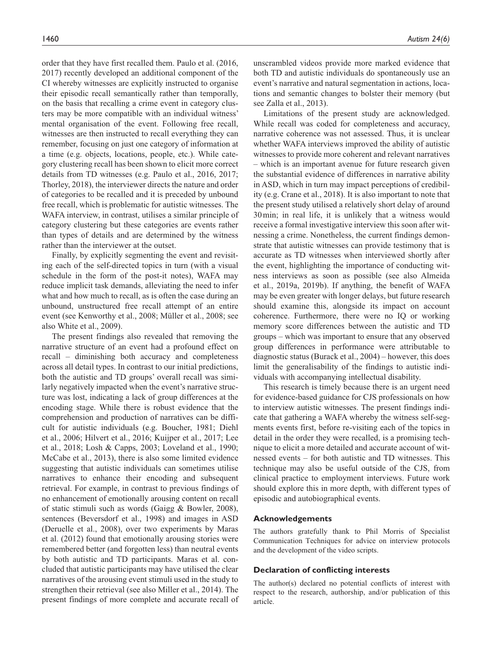order that they have first recalled them. Paulo et al. (2016, 2017) recently developed an additional component of the CI whereby witnesses are explicitly instructed to organise their episodic recall semantically rather than temporally, on the basis that recalling a crime event in category clusters may be more compatible with an individual witness' mental organisation of the event. Following free recall, witnesses are then instructed to recall everything they can remember, focusing on just one category of information at a time (e.g. objects, locations, people, etc.). While category clustering recall has been shown to elicit more correct details from TD witnesses (e.g. Paulo et al., 2016, 2017; Thorley, 2018), the interviewer directs the nature and order of categories to be recalled and it is preceded by unbound free recall, which is problematic for autistic witnesses. The WAFA interview, in contrast, utilises a similar principle of category clustering but these categories are events rather than types of details and are determined by the witness rather than the interviewer at the outset.

Finally, by explicitly segmenting the event and revisiting each of the self-directed topics in turn (with a visual schedule in the form of the post-it notes), WAFA may reduce implicit task demands, alleviating the need to infer what and how much to recall, as is often the case during an unbound, unstructured free recall attempt of an entire event (see Kenworthy et al., 2008; Müller et al., 2008; see also White et al., 2009).

The present findings also revealed that removing the narrative structure of an event had a profound effect on recall – diminishing both accuracy and completeness across all detail types. In contrast to our initial predictions, both the autistic and TD groups' overall recall was similarly negatively impacted when the event's narrative structure was lost, indicating a lack of group differences at the encoding stage. While there is robust evidence that the comprehension and production of narratives can be difficult for autistic individuals (e.g. Boucher, 1981; Diehl et al., 2006; Hilvert et al., 2016; Kuijper et al., 2017; Lee et al., 2018; Losh & Capps, 2003; Loveland et al., 1990; McCabe et al., 2013), there is also some limited evidence suggesting that autistic individuals can sometimes utilise narratives to enhance their encoding and subsequent retrieval. For example, in contrast to previous findings of no enhancement of emotionally arousing content on recall of static stimuli such as words (Gaigg & Bowler, 2008), sentences (Beversdorf et al., 1998) and images in ASD (Deruelle et al., 2008), over two experiments by Maras et al. (2012) found that emotionally arousing stories were remembered better (and forgotten less) than neutral events by both autistic and TD participants. Maras et al. concluded that autistic participants may have utilised the clear narratives of the arousing event stimuli used in the study to strengthen their retrieval (see also Miller et al., 2014). The present findings of more complete and accurate recall of unscrambled videos provide more marked evidence that both TD and autistic individuals do spontaneously use an event's narrative and natural segmentation in actions, locations and semantic changes to bolster their memory (but see Zalla et al., 2013).

Limitations of the present study are acknowledged. While recall was coded for completeness and accuracy, narrative coherence was not assessed. Thus, it is unclear whether WAFA interviews improved the ability of autistic witnesses to provide more coherent and relevant narratives – which is an important avenue for future research given the substantial evidence of differences in narrative ability in ASD, which in turn may impact perceptions of credibility (e.g. Crane et al., 2018). It is also important to note that the present study utilised a relatively short delay of around 30min; in real life, it is unlikely that a witness would receive a formal investigative interview this soon after witnessing a crime. Nonetheless, the current findings demonstrate that autistic witnesses can provide testimony that is accurate as TD witnesses when interviewed shortly after the event, highlighting the importance of conducting witness interviews as soon as possible (see also Almeida et al., 2019a, 2019b). If anything, the benefit of WAFA may be even greater with longer delays, but future research should examine this, alongside its impact on account coherence. Furthermore, there were no IQ or working memory score differences between the autistic and TD groups – which was important to ensure that any observed group differences in performance were attributable to diagnostic status (Burack et al., 2004) – however, this does limit the generalisability of the findings to autistic individuals with accompanying intellectual disability.

This research is timely because there is an urgent need for evidence-based guidance for CJS professionals on how to interview autistic witnesses. The present findings indicate that gathering a WAFA whereby the witness self-segments events first, before re-visiting each of the topics in detail in the order they were recalled, is a promising technique to elicit a more detailed and accurate account of witnessed events – for both autistic and TD witnesses. This technique may also be useful outside of the CJS, from clinical practice to employment interviews. Future work should explore this in more depth, with different types of episodic and autobiographical events.

#### **Acknowledgements**

The authors gratefully thank to Phil Morris of Specialist Communication Techniques for advice on interview protocols and the development of the video scripts.

#### **Declaration of conflicting interests**

The author(s) declared no potential conflicts of interest with respect to the research, authorship, and/or publication of this article.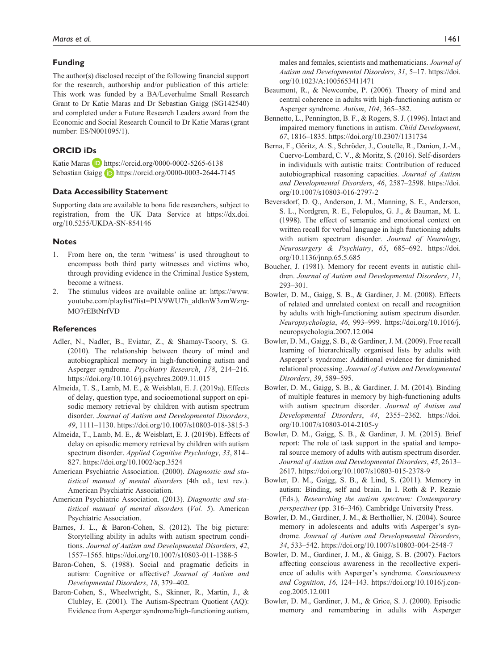### **Funding**

The author(s) disclosed receipt of the following financial support for the research, authorship and/or publication of this article: This work was funded by a BA/Leverhulme Small Research Grant to Dr Katie Maras and Dr Sebastian Gaigg (SG142540) and completed under a Future Research Leaders award from the Economic and Social Research Council to Dr Katie Maras (grant number: ES/N001095/1).

### **ORCID iDs**

Katie Maras  $\bullet$  <https://orcid.org/0000-0002-5265-6138> Sebastian Gaigg **b** <https://orcid.org/0000-0003-2644-7145>

#### **Data Accessibility Statement**

Supporting data are available to bona fide researchers, subject to registration, from the UK Data Service at [https://dx.doi.](https://dx.doi.org/10.5255/UKDA-SN-854146) [org/10.5255/UKDA-SN-854146](https://dx.doi.org/10.5255/UKDA-SN-854146)

#### **Notes**

- 1. From here on, the term 'witness' is used throughout to encompass both third party witnesses and victims who, through providing evidence in the Criminal Justice System, become a witness.
- 2. The stimulus videos are available online at: [https://www.](https://www.youtube.com/playlist?list=PLV9WU7h_aldknW3zmWzrgMO7rEBtNrfVD) [youtube.com/playlist?list=PLV9WU7h\\_aldknW3zmWzrg-](https://www.youtube.com/playlist?list=PLV9WU7h_aldknW3zmWzrgMO7rEBtNrfVD)[MO7rEBtNrfVD](https://www.youtube.com/playlist?list=PLV9WU7h_aldknW3zmWzrgMO7rEBtNrfVD)

#### **References**

- Adler, N., Nadler, B., Eviatar, Z., & Shamay-Tsoory, S. G. (2010). The relationship between theory of mind and autobiographical memory in high-functioning autism and Asperger syndrome. *Psychiatry Research*, *178*, 214–216. <https://doi.org/10.1016/j.psychres.2009.11.015>
- Almeida, T. S., Lamb, M. E., & Weisblatt, E. J. (2019a). Effects of delay, question type, and socioemotional support on episodic memory retrieval by children with autism spectrum disorder. *Journal of Autism and Developmental Disorders*, *49*, 1111–1130. <https://doi.org/10.1007/s10803-018-3815-3>
- Almeida, T., Lamb, M. E., & Weisblatt, E. J. (2019b). Effects of delay on episodic memory retrieval by children with autism spectrum disorder. *Applied Cognitive Psychology*, *33*, 814– 827.<https://doi.org/10.1002/acp.3524>
- American Psychiatric Association. (2000). *Diagnostic and statistical manual of mental disorders* (4th ed., text rev.). American Psychiatric Association.
- American Psychiatric Association. (2013). *Diagnostic and statistical manual of mental disorders* (*Vol. 5*). American Psychiatric Association.
- Barnes, J. L., & Baron-Cohen, S. (2012). The big picture: Storytelling ability in adults with autism spectrum conditions. *Journal of Autism and Developmental Disorders*, *42*, 1557–1565.<https://doi.org/10.1007/s10803-011-1388-5>
- Baron-Cohen, S. (1988). Social and pragmatic deficits in autism: Cognitive or affective? *Journal of Autism and Developmental Disorders*, *18*, 379–402.
- Baron-Cohen, S., Wheelwright, S., Skinner, R., Martin, J., & Clubley, E. (2001). The Autism-Spectrum Quotient (AQ): Evidence from Asperger syndrome/high-functioning autism,

males and females, scientists and mathematicians. *Journal of Autism and Developmental Disorders*, *31*, 5–17. [https://doi.](https://doi.org/10.1023/A:1005653411471) [org/10.1023/A:1005653411471](https://doi.org/10.1023/A:1005653411471)

- Beaumont, R., & Newcombe, P. (2006). Theory of mind and central coherence in adults with high-functioning autism or Asperger syndrome. *Autism*, *104*, 365–382.
- Bennetto, L., Pennington, B. F., & Rogers, S. J. (1996). Intact and impaired memory functions in autism. *Child Development*, *67*, 1816–1835. <https://doi.org/10.2307/1131734>
- Berna, F., Göritz, A. S., Schröder, J., Coutelle, R., Danion, J.-M., Cuervo-Lombard, C. V., & Moritz, S. (2016). Self-disorders in individuals with autistic traits: Contribution of reduced autobiographical reasoning capacities. *Journal of Autism and Developmental Disorders*, *46*, 2587–2598. [https://doi.](https://doi.org/10.1007/s10803-016-2797-2) [org/10.1007/s10803-016-2797-2](https://doi.org/10.1007/s10803-016-2797-2)
- Beversdorf, D. Q., Anderson, J. M., Manning, S. E., Anderson, S. L., Nordgren, R. E., Felopulos, G. J., & Bauman, M. L. (1998). The effect of semantic and emotional context on written recall for verbal language in high functioning adults with autism spectrum disorder. *Journal of Neurology, Neurosurgery & Psychiatry*, *65*, 685–692. [https://doi.](https://doi.org/10.1136/jnnp.65.5.685) [org/10.1136/jnnp.65.5.685](https://doi.org/10.1136/jnnp.65.5.685)
- Boucher, J. (1981). Memory for recent events in autistic children. *Journal of Autism and Developmental Disorders*, *11*, 293–301.
- Bowler, D. M., Gaigg, S. B., & Gardiner, J. M. (2008). Effects of related and unrelated context on recall and recognition by adults with high-functioning autism spectrum disorder. *Neuropsychologia*, *46*, 993–999. [https://doi.org/10.1016/j.](https://doi.org/10.1016/j.neuropsychologia.2007.12.004) [neuropsychologia.2007.12.004](https://doi.org/10.1016/j.neuropsychologia.2007.12.004)
- Bowler, D. M., Gaigg, S. B., & Gardiner, J. M. (2009). Free recall learning of hierarchically organised lists by adults with Asperger's syndrome: Additional evidence for diminished relational processing. *Journal of Autism and Developmental Disorders*, *39*, 589–595.
- Bowler, D. M., Gaigg, S. B., & Gardiner, J. M. (2014). Binding of multiple features in memory by high-functioning adults with autism spectrum disorder. *Journal of Autism and Developmental Disorders*, *44*, 2355–2362. [https://doi.](https://doi.org/10.1007/s10803-014-2105-y) [org/10.1007/s10803-014-2105-y](https://doi.org/10.1007/s10803-014-2105-y)
- Bowler, D. M., Gaigg, S. B., & Gardiner, J. M. (2015). Brief report: The role of task support in the spatial and temporal source memory of adults with autism spectrum disorder. *Journal of Autism and Developmental Disorders*, *45*, 2613– 2617. <https://doi.org/10.1007/s10803-015-2378-9>
- Bowler, D. M., Gaigg, S. B., & Lind, S. (2011). Memory in autism: Binding, self and brain. In I. Roth & P. Rezaie (Eds.), *Researching the autism spectrum: Contemporary perspectives* (pp. 316–346). Cambridge University Press.
- Bowler, D. M., Gardiner, J. M., & Berthollier, N. (2004). Source memory in adolescents and adults with Asperger's syndrome. *Journal of Autism and Developmental Disorders*, *34*, 533–542. <https://doi.org/10.1007/s10803-004-2548-7>
- Bowler, D. M., Gardiner, J. M., & Gaigg, S. B. (2007). Factors affecting conscious awareness in the recollective experience of adults with Asperger's syndrome. *Consciousness and Cognition*, *16*, 124–143. [https://doi.org/10.1016/j.con](https://doi.org/10.1016/j.concog.2005.12.001)[cog.2005.12.001](https://doi.org/10.1016/j.concog.2005.12.001)
- Bowler, D. M., Gardiner, J. M., & Grice, S. J. (2000). Episodic memory and remembering in adults with Asperger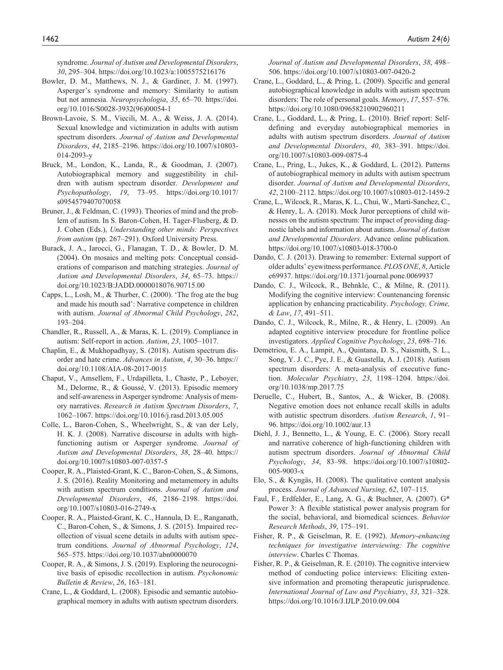syndrome. *Journal of Autism and Developmental Disorders*, *30*, 295–304.<https://doi.org/10.1023/a:1005575216176>

- Bowler, D. M., Matthews, N. J., & Gardiner, J. M. (1997). Asperger's syndrome and memory: Similarity to autism but not amnesia. *Neuropsychologia*, *35*, 65–70. [https://doi.](https://doi.org/10.1016/S0028-3932(96)00054-1) [org/10.1016/S0028-3932\(96\)00054-1](https://doi.org/10.1016/S0028-3932(96)00054-1)
- Brown-Lavoie, S. M., Viecili, M. A., & Weiss, J. A. (2014). Sexual knowledge and victimization in adults with autism spectrum disorders. *Journal of Autism and Developmental Disorders*, *44*, 2185–2196. [https://doi.org/10.1007/s10803-](https://doi.org/10.1007/s10803-014-2093-y) [014-2093-y](https://doi.org/10.1007/s10803-014-2093-y)
- Bruck, M., London, K., Landa, R., & Goodman, J. (2007). Autobiographical memory and suggestibility in children with autism spectrum disorder. *Development and Psychopathology*, *19*, 73–95. [https://doi.org/10.1017/](https://doi.org/10.1017/s0954579407070058) [s0954579407070058](https://doi.org/10.1017/s0954579407070058)
- Bruner, J., & Feldman, C. (1993). Theories of mind and the problem of autism. In S. Baron-Cohen, H. Tager-Flusberg, & D. J. Cohen (Eds.), *Understanding other minds: Perspectives from autism* (pp. 267–291). Oxford University Press.
- Burack, J. A., Iarocci, G., Flanagan, T. D., & Bowler, D. M. (2004). On mosaics and melting pots: Conceptual considerations of comparison and matching strategies. *Journal of Autism and Developmental Disorders*, *34*, 65–73. [https://](https://doi.org/10.1023/B:JADD.0000018076.90715.00) [doi.org/10.1023/B:JADD.0000018076.90715.00](https://doi.org/10.1023/B:JADD.0000018076.90715.00)
- Capps, L., Losh, M., & Thurber, C. (2000). 'The frog ate the bug and made his mouth sad': Narrative competence in children with autism. *Journal of Abnormal Child Psychology*, *282*, 193–204.
- Chandler, R., Russell, A., & Maras, K. L. (2019). Compliance in autism: Self-report in action. *Autism*, *23*, 1005–1017.
- Chaplin, E., & Mukhopadhyay, S. (2018). Autism spectrum disorder and hate crime. *Advances in Autism*, *4*, 30–36. [https://](https://doi.org/10.1108/AIA-08-2017-0015) [doi.org/10.1108/AIA-08-2017-0015](https://doi.org/10.1108/AIA-08-2017-0015)
- Chaput, V., Amsellem, F., Urdapilleta, I., Chaste, P., Leboyer, M., Delorme, R., & Goussé, V. (2013). Episodic memory and self-awareness in Asperger syndrome: Analysis of memory narratives. *Research in Autism Spectrum Disorders*, *7*, 1062–1067. <https://doi.org/10.1016/j.rasd.2013.05.005>
- Colle, L., Baron-Cohen, S., Wheelwright, S., & van der Lely, H. K. J. (2008). Narrative discourse in adults with highfunctioning autism or Asperger syndrome. *Journal of Autism and Developmental Disorders*, *38*, 28–40. [https://](https://doi.org/10.1007/s10803-007-0357-5) [doi.org/10.1007/s10803-007-0357-5](https://doi.org/10.1007/s10803-007-0357-5)
- Cooper, R. A., Plaisted-Grant, K. C., Baron-Cohen, S., & Simons, J. S. (2016). Reality Monitoring and metamemory in adults with autism spectrum conditions. *Journal of Autism and Developmental Disorders*, *46*, 2186–2198. [https://doi.](https://doi.org/10.1007/s10803-016-2749-x) [org/10.1007/s10803-016-2749-x](https://doi.org/10.1007/s10803-016-2749-x)
- Cooper, R. A., Plaisted-Grant, K. C., Hannula, D. E., Ranganath, C., Baron-Cohen, S., & Simons, J. S. (2015). Impaired recollection of visual scene details in adults with autism spectrum conditions. *Journal of Abnormal Psychology*, *124*, 565–575. <https://doi.org/10.1037/abn0000070>
- Cooper, R. A., & Simons, J. S. (2019). Exploring the neurocognitive basis of episodic recollection in autism. *Psychonomic Bulletin & Review*, *26*, 163–181.
- Crane, L., & Goddard, L. (2008). Episodic and semantic autobiographical memory in adults with autism spectrum disorders.

*Journal of Autism and Developmental Disorders*, *38*, 498– 506.<https://doi.org/10.1007/s10803-007-0420-2>

- Crane, L., Goddard, L., & Pring, L. (2009). Specific and general autobiographical knowledge in adults with autism spectrum disorders: The role of personal goals. *Memory*, *17*, 557–576. <https://doi.org/10.1080/09658210902960211>
- Crane, L., Goddard, L., & Pring, L. (2010). Brief report: Selfdefining and everyday autobiographical memories in adults with autism spectrum disorders. *Journal of Autism and Developmental Disorders*, *40*, 383–391. [https://doi.](https://doi.org/10.1007/s10803-009-0875-4) [org/10.1007/s10803-009-0875-4](https://doi.org/10.1007/s10803-009-0875-4)
- Crane, L., Pring, L., Jukes, K., & Goddard, L. (2012). Patterns of autobiographical memory in adults with autism spectrum disorder. *Journal of Autism and Developmental Disorders*, *42*, 2100–2112. <https://doi.org/10.1007/s10803-012-1459-2>
- Crane, L., Wilcock, R., Maras, K. L., Chui, W., Marti-Sanchez, C., & Henry, L. A. (2018). Mock Juror perceptions of child witnesses on the autism spectrum: The impact of providing diagnostic labels and information about autism. *Journal of Autism and Developmental Disorders*. Advance online publication. <https://doi.org/10.1007/s10803-018-3700-0>
- Dando, C. J. (2013). Drawing to remember: External support of older adults' eyewitness performance. *PLOS ONE*, *8*, Article e69937.<https://doi.org/10.1371/journal.pone.0069937>
- Dando, C. J., Wilcock, R., Behnkle, C., & Milne, R. (2011). Modifying the cognitive interview: Countenancing forensic application by enhancing practicability. *Psychology, Crime, & Law*, *17*, 491–511.
- Dando, C. J., Wilcock, R., Milne, R., & Henry, L. (2009). An adapted cognitive interview procedure for frontline police investigators. *Applied Cognitive Psychology*, *23*, 698–716.
- Demetriou, E. A., Lampit, A., Quintana, D. S., Naismith, S. L., Song, Y. J. C., Pye, J. E., & Guastella, A. J. (2018). Autism spectrum disorders: A meta-analysis of executive function. *Molecular Psychiatry*, *23*, 1198–1204. [https://doi.](https://doi.org/10.1038/mp.2017.75) [org/10.1038/mp.2017.75](https://doi.org/10.1038/mp.2017.75)
- Deruelle, C., Hubert, B., Santos, A., & Wicker, B. (2008). Negative emotion does not enhance recall skills in adults with autistic spectrum disorders. *Autism Research*, *1*, 91– 96. <https://doi.org/10.1002/aur.13>
- Diehl, J. J., Bennetto, L., & Young, E. C. (2006). Story recall and narrative coherence of high-functioning children with autism spectrum disorders. *Journal of Abnormal Child Psychology*, *34*, 83–98. [https://doi.org/10.1007/s10802-](https://doi.org/10.1007/s10802-005-9003-x) [005-9003-x](https://doi.org/10.1007/s10802-005-9003-x)
- Elo, S., & Kyngäs, H. (2008). The qualitative content analysis process. *Journal of Advanced Nursing*, *62*, 107–115.
- Faul, F., Erdfelder, E., Lang, A. G., & Buchner, A. (2007). G\* Power 3: A flexible statistical power analysis program for the social, behavioral, and biomedical sciences. *Behavior Research Methods*, *39*, 175–191.
- Fisher, R. P., & Geiselman, R. E. (1992). *Memory-enhancing techniques for investigative interviewing: The cognitive interview*. Charles C Thomas.
- Fisher, R. P., & Geiselman, R. E. (2010). The cognitive interview method of conducting police interviews: Eliciting extensive information and promoting therapeutic jurisprudence. *International Journal of Law and Psychiatry*, *33*, 321–328. <https://doi.org/10.1016/J.IJLP.2010.09.004>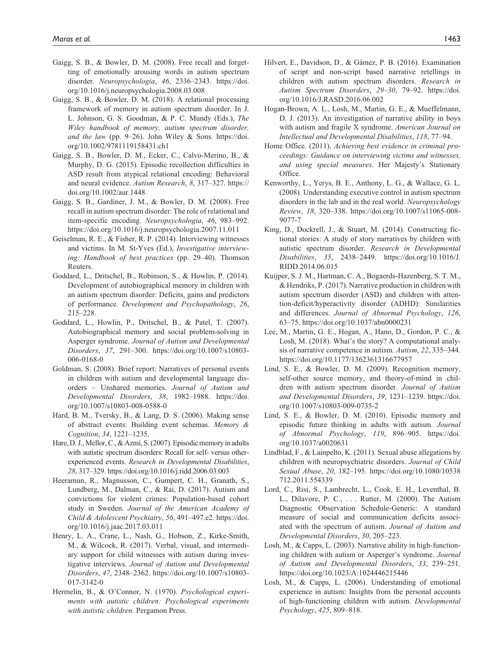- Gaigg, S. B., & Bowler, D. M. (2008). Free recall and forgetting of emotionally arousing words in autism spectrum disorder. *Neuropsychologia*, *46*, 2336–2343. [https://doi.](https://doi.org/10.1016/j.neuropsychologia.2008.03.008) [org/10.1016/j.neuropsychologia.2008.03.008](https://doi.org/10.1016/j.neuropsychologia.2008.03.008)
- Gaigg, S. B., & Bowler, D. M. (2018). A relational processing framework of memory in autism spectrum disorder. In J. L. Johnson, G. S. Goodman, & P. C. Mundy (Eds.), *The Wiley handbook of memory, autism spectrum disorder, and the law* (pp. 9–26). John Wiley & Sons. [https://doi.](https://doi.org/10.1002/9781119158431.ch1) [org/10.1002/9781119158431.ch1](https://doi.org/10.1002/9781119158431.ch1)
- Gaigg, S. B., Bowler, D. M., Ecker, C., Calvo-Merino, B., & Murphy, D. G. (2015). Episodic recollection difficulties in ASD result from atypical relational encoding: Behavioral and neural evidence. *Autism Research*, *8*, 317–327. [https://](https://doi.org/10.1002/aur.1448) [doi.org/10.1002/aur.1448](https://doi.org/10.1002/aur.1448)
- Gaigg, S. B., Gardiner, J. M., & Bowler, D. M. (2008). Free recall in autism spectrum disorder: The role of relational and item-specific encoding. *Neuropsychologia*, *46*, 983–992. <https://doi.org/10.1016/j.neuropsychologia.2007.11.011>
- Geiselman, R. E., & Fisher, R. P. (2014). Interviewing witnesses and victims. In M. St-Yves (Ed.), *Investigative interviewing: Handbook of best practices* (pp. 29–40). Thomson Reuters.
- Goddard, L., Dritschel, B., Robinson, S., & Howlin, P. (2014). Development of autobiographical memory in children with an autism spectrum disorder: Deficits, gains and predictors of performance. *Development and Psychopathology*, *26*, 215–228.
- Goddard, L., Howlin, P., Dritschel, B., & Patel, T. (2007). Autobiographical memory and social problem-solving in Asperger syndrome. *Journal of Autism and Developmental Disorders*, *37*, 291–300. [https://doi.org/10.1007/s10803-](https://doi.org/10.1007/s10803-006-0168-0) [006-0168-0](https://doi.org/10.1007/s10803-006-0168-0)
- Goldman, S. (2008). Brief report: Narratives of personal events in children with autism and developmental language disorders – Unshared memories. *Journal of Autism and Developmental Disorders*, *38*, 1982–1988. [https://doi.](https://doi.org/10.1007/s10803-008-0588-0) [org/10.1007/s10803-008-0588-0](https://doi.org/10.1007/s10803-008-0588-0)
- Hard, B. M., Tversky, B., & Lang, D. S. (2006). Making sense of abstract events: Building event schemas. *Memory & Cognition*, *34*, 1221–1235.
- Hare, D. J., Mellor, C., & Azmi, S. (2007). Episodic memory in adults with autistic spectrum disorders: Recall for self- versus otherexperienced events. *Research in Developmental Disabilities*, *28*, 317–329. <https://doi.org/10.1016/j.ridd.2006.03.003>
- Heeramun, R., Magnusson, C., Gumpert, C. H., Granath, S., Lundberg, M., Dalman, C., & Rai, D. (2017). Autism and convictions for violent crimes: Population-based cohort study in Sweden. *Journal of the American Academy of Child & Adolescent Psychiatry*, *56*, 491–497.e2. [https://doi.](https://doi.org/10.1016/j.jaac.2017.03.011) [org/10.1016/j.jaac.2017.03.011](https://doi.org/10.1016/j.jaac.2017.03.011)
- Henry, L. A., Crane, L., Nash, G., Hobson, Z., Kirke-Smith, M., & Wilcock, R. (2017). Verbal, visual, and intermediary support for child witnesses with autism during investigative interviews. *Journal of Autism and Developmental Disorders*, *47*, 2348–2362. [https://doi.org/10.1007/s10803-](https://doi.org/10.1007/s10803-017-3142-0) [017-3142-0](https://doi.org/10.1007/s10803-017-3142-0)
- Hermelin, B., & O'Connor, N. (1970). *Psychological experiments with autistic children: Psychological experiments with autistic children*. Pergamon Press.
- Hilvert, E., Davidson, D., & Gámez, P. B. (2016). Examination of script and non-script based narrative retellings in children with autism spectrum disorders. *Research in Autism Spectrum Disorders*, *29–30*, 79–92. [https://doi.](https://doi.org/10.1016/J.RASD.2016.06.002) [org/10.1016/J.RASD.2016.06.002](https://doi.org/10.1016/J.RASD.2016.06.002)
- Hogan-Brown, A. L., Losh, M., Martin, G. E., & Mueffelmann, D. J. (2013). An investigation of narrative ability in boys with autism and fragile X syndrome. *American Journal on Intellectual and Developmental Disabilities*, *118*, 77–94.
- Home Office. (2011). *Achieving best evidence in criminal proceedings: Guidance on interviewing victims and witnesses, and using special measures*. Her Majesty's Stationary Office.
- Kenworthy, L., Yerys, B. E., Anthony, L. G., & Wallace, G. L. (2008). Understanding executive control in autism spectrum disorders in the lab and in the real world. *Neuropsychology Review*, *18*, 320–338. [https://doi.org/10.1007/s11065-008-](https://doi.org/10.1007/s11065-008-9077-7) [9077-7](https://doi.org/10.1007/s11065-008-9077-7)
- King, D., Dockrell, J., & Stuart, M. (2014). Constructing fictional stories: A study of story narratives by children with autistic spectrum disorder. *Research in Developmental Disabilities*, *35*, 2438–2449. [https://doi.org/10.1016/J.](https://doi.org/10.1016/J.RIDD.2014.06.015) [RIDD.2014.06.015](https://doi.org/10.1016/J.RIDD.2014.06.015)
- Kuijper, S. J. M., Hartman, C. A., Bogaerds-Hazenberg, S. T. M., & Hendriks, P. (2017). Narrative production in children with autism spectrum disorder (ASD) and children with attention-deficit/hyperactivity disorder (ADHD): Similarities and differences. *Journal of Abnormal Psychology*, *126*, 63–75.<https://doi.org/10.1037/abn0000231>
- Lee, M., Martin, G. E., Hogan, A., Hano, D., Gordon, P. C., & Losh, M. (2018). What's the story? A computational analysis of narrative competence in autism. *Autism*, *22*, 335–344. <https://doi.org/10.1177/1362361316677957>
- Lind, S. E., & Bowler, D. M. (2009). Recognition memory, self-other source memory, and theory-of-mind in children with autism spectrum disorder. *Journal of Autism and Developmental Disorders*, *39*, 1231–1239. [https://doi.](https://doi.org/10.1007/s10803-009-0735-2) [org/10.1007/s10803-009-0735-2](https://doi.org/10.1007/s10803-009-0735-2)
- Lind, S. E., & Bowler, D. M. (2010). Episodic memory and episodic future thinking in adults with autism. *Journal of Abnormal Psychology*, *119*, 896–905. [https://doi.](https://doi.org/10.1037/a0020631) [org/10.1037/a0020631](https://doi.org/10.1037/a0020631)
- Lindblad, F., & Lainpelto, K. (2011). Sexual abuse allegations by children with neuropsychiatric disorders. *Journal of Child Sexual Abuse*, *20*, 182–195. [https://doi.org/10.1080/10538](https://doi.org/10.1080/10538712.2011.554339) [712.2011.554339](https://doi.org/10.1080/10538712.2011.554339)
- Lord, C., Risi, S., Lambrecht, L., Cook, E. H., Leventhal, B. L., Dilavore, P. C., . . . Rutter, M. (2000). The Autism Diagnostic Observation Schedule-Generic: A standard measure of social and communication deficits associated with the spectrum of autism. *Journal of Autism and Developmental Disorders*, *30*, 205–223.
- Losh, M., & Capps, L. (2003). Narrative ability in high-functioning children with autism or Asperger's syndrome. *Journal of Autism and Developmental Disorders*, *33*, 239–251. <https://doi.org/10.1023/A:1024446215446>
- Losh, M., & Capps, L. (2006). Understanding of emotional experience in autism: Insights from the personal accounts of high-functioning children with autism. *Developmental Psychology*, *425*, 809–818.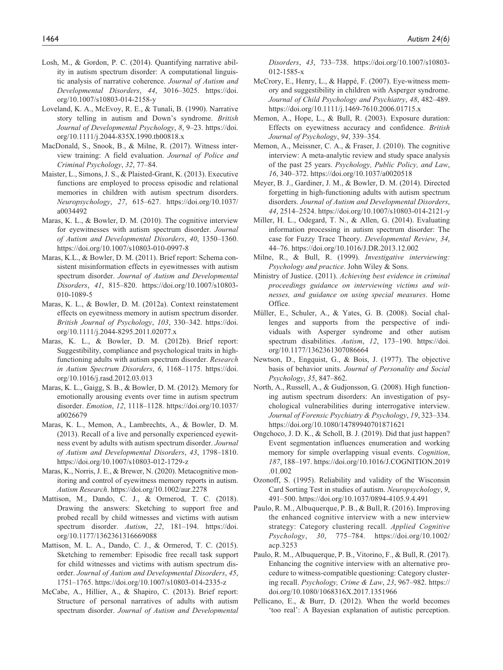- Losh, M., & Gordon, P. C. (2014). Quantifying narrative ability in autism spectrum disorder: A computational linguistic analysis of narrative coherence. *Journal of Autism and Developmental Disorders*, *44*, 3016–3025. [https://doi.](https://doi.org/10.1007/s10803-014-2158-y) [org/10.1007/s10803-014-2158-y](https://doi.org/10.1007/s10803-014-2158-y)
- Loveland, K. A., McEvoy, R. E., & Tunali, B. (1990). Narrative story telling in autism and Down's syndrome. *British Journal of Developmental Psychology*, *8*, 9–23. [https://doi.](https://doi.org/10.1111/j.2044-835X.1990.tb00818.x) [org/10.1111/j.2044-835X.1990.tb00818.x](https://doi.org/10.1111/j.2044-835X.1990.tb00818.x)
- MacDonald, S., Snook, B., & Milne, R. (2017). Witness interview training: A field evaluation. *Journal of Police and Criminal Psychology*, *32*, 77–84.
- Maister, L., Simons, J. S., & Plaisted-Grant, K. (2013). Executive functions are employed to process episodic and relational memories in children with autism spectrum disorders. *Neuropsychology*, *27*, 615–627. [https://doi.org/10.1037/](https://doi.org/10.1037/a0034492) [a0034492](https://doi.org/10.1037/a0034492)
- Maras, K. L., & Bowler, D. M. (2010). The cognitive interview for eyewitnesses with autism spectrum disorder. *Journal of Autism and Developmental Disorders*, *40*, 1350–1360. <https://doi.org/10.1007/s10803-010-0997-8>
- Maras, K.L., & Bowler, D. M. (2011). Brief report: Schema consistent misinformation effects in eyewitnesses with autism spectrum disorder. *Journal of Autism and Developmental Disorders*, *41*, 815–820. [https://doi.org/10.1007/s10803-](https://doi.org/10.1007/s10803-010-1089-5) [010-1089-5](https://doi.org/10.1007/s10803-010-1089-5)
- Maras, K. L., & Bowler, D. M. (2012a). Context reinstatement effects on eyewitness memory in autism spectrum disorder. *British Journal of Psychology*, *103*, 330–342. [https://doi.](https://doi.org/10.1111/j.2044-8295.2011.02077.x) [org/10.1111/j.2044-8295.2011.02077.x](https://doi.org/10.1111/j.2044-8295.2011.02077.x)
- Maras, K. L., & Bowler, D. M. (2012b). Brief report: Suggestibility, compliance and psychological traits in highfunctioning adults with autism spectrum disorder. *Research in Autism Spectrum Disorders*, *6*, 1168–1175. [https://doi.](https://doi.org/10.1016/j.rasd.2012.03.013) [org/10.1016/j.rasd.2012.03.013](https://doi.org/10.1016/j.rasd.2012.03.013)
- Maras, K. L., Gaigg, S. B., & Bowler, D. M. (2012). Memory for emotionally arousing events over time in autism spectrum disorder. *Emotion*, *12*, 1118–1128. [https://doi.org/10.1037/](https://doi.org/10.1037/a0026679) [a0026679](https://doi.org/10.1037/a0026679)
- Maras, K. L., Memon, A., Lambrechts, A., & Bowler, D. M. (2013). Recall of a live and personally experienced eyewitness event by adults with autism spectrum disorder. *Journal of Autism and Developmental Disorders*, *43*, 1798–1810. <https://doi.org/10.1007/s10803-012-1729-z>
- Maras, K., Norris, J. E., & Brewer, N. (2020). Metacognitive monitoring and control of eyewitness memory reports in autism. *Autism Research*.<https://doi.org/10.1002/aur.2278>
- Mattison, M., Dando, C. J., & Ormerod, T. C. (2018). Drawing the answers: Sketching to support free and probed recall by child witnesses and victims with autism spectrum disorder. *Autism*, *22*, 181–194. [https://doi.](https://doi.org/10.1177/1362361316669088) [org/10.1177/1362361316669088](https://doi.org/10.1177/1362361316669088)
- Mattison, M. L. A., Dando, C. J., & Ormerod, T. C. (2015). Sketching to remember: Episodic free recall task support for child witnesses and victims with autism spectrum disorder. *Journal of Autism and Developmental Disorders*, *45*, 1751–1765. <https://doi.org/10.1007/s10803-014-2335-z>
- McCabe, A., Hillier, A., & Shapiro, C. (2013). Brief report: Structure of personal narratives of adults with autism spectrum disorder. *Journal of Autism and Developmental*

*Disorders*, *43*, 733–738. [https://doi.org/10.1007/s10803-](https://doi.org/10.1007/s10803-012-1585-x) [012-1585-x](https://doi.org/10.1007/s10803-012-1585-x)

- McCrory, E., Henry, L., & Happé, F. (2007). Eye-witness memory and suggestibility in children with Asperger syndrome. *Journal of Child Psychology and Psychiatry*, *48*, 482–489. <https://doi.org/10.1111/j.1469-7610.2006.01715.x>
- Memon, A., Hope, L., & Bull, R. (2003). Exposure duration: Effects on eyewitness accuracy and confidence. *British Journal of Psychology*, *94*, 339–354.
- Memon, A., Meissner, C. A., & Fraser, J. (2010). The cognitive interview: A meta-analytic review and study space analysis of the past 25 years. *Psychology, Public Policy, and Law*, *16*, 340–372. <https://doi.org/10.1037/a0020518>
- Meyer, B. J., Gardiner, J. M., & Bowler, D. M. (2014). Directed forgetting in high-functioning adults with autism spectrum disorders. *Journal of Autism and Developmental Disorders*, *44*, 2514–2524. <https://doi.org/10.1007/s10803-014-2121-y>
- Miller, H. L., Odegard, T. N., & Allen, G. (2014). Evaluating information processing in autism spectrum disorder: The case for Fuzzy Trace Theory. *Developmental Review*, *34*, 44–76.<https://doi.org/10.1016/J.DR.2013.12.002>
- Milne, R., & Bull, R. (1999). *Investigative interviewing: Psychology and practice*. John Wiley & Sons.
- Ministry of Justice. (2011). *Achieving best evidence in criminal proceedings guidance on interviewing victims and witnesses, and guidance on using special measures*. Home Office.
- Müller, E., Schuler, A., & Yates, G. B. (2008). Social challenges and supports from the perspective of individuals with Asperger syndrome and other autism spectrum disabilities. *Autism*, *12*, 173–190. [https://doi.](https://doi.org/10.1177/1362361307086664) [org/10.1177/1362361307086664](https://doi.org/10.1177/1362361307086664)
- Newtson, D., Engquist, G., & Bois, J. (1977). The objective basis of behavior units. *Journal of Personality and Social Psychology*, *35*, 847–862.
- North, A., Russell, A., & Gudjonsson, G. (2008). High functioning autism spectrum disorders: An investigation of psychological vulnerabilities during interrogative interview. *Journal of Forensic Psychiatry & Psychology*, *19*, 323–334. <https://doi.org/10.1080/14789940701871621>
- Ongchoco, J. D. K., & Scholl, B. J. (2019). Did that just happen? Event segmentation influences enumeration and working memory for simple overlapping visual events. *Cognition*, *187*, 188–197. [https://doi.org/10.1016/J.COGNITION.2019](https://doi.org/10.1016/J.COGNITION.2019.01.002) [.01.002](https://doi.org/10.1016/J.COGNITION.2019.01.002)
- Ozonoff, S. (1995). Reliability and validity of the Wisconsin Card Sorting Test in studies of autism. *Neuropsychology*, *9*, 491–500.<https://doi.org/10.1037/0894-4105.9.4.491>
- Paulo, R. M., Albuquerque, P. B., & Bull, R. (2016). Improving the enhanced cognitive interview with a new interview strategy: Category clustering recall. *Applied Cognitive Psychology*, *30*, 775–784. [https://doi.org/10.1002/](https://doi.org/10.1002/acp.3253) [acp.3253](https://doi.org/10.1002/acp.3253)
- Paulo, R. M., Albuquerque, P. B., Vitorino, F., & Bull, R. (2017). Enhancing the cognitive interview with an alternative procedure to witness-compatible questioning: Category clustering recall. *Psychology, Crime & Law*, *23*, 967–982. [https://](https://doi.org/10.1080/1068316X.2017.1351966) [doi.org/10.1080/1068316X.2017.1351966](https://doi.org/10.1080/1068316X.2017.1351966)
- Pellicano, E., & Burr, D. (2012). When the world becomes 'too real': A Bayesian explanation of autistic perception.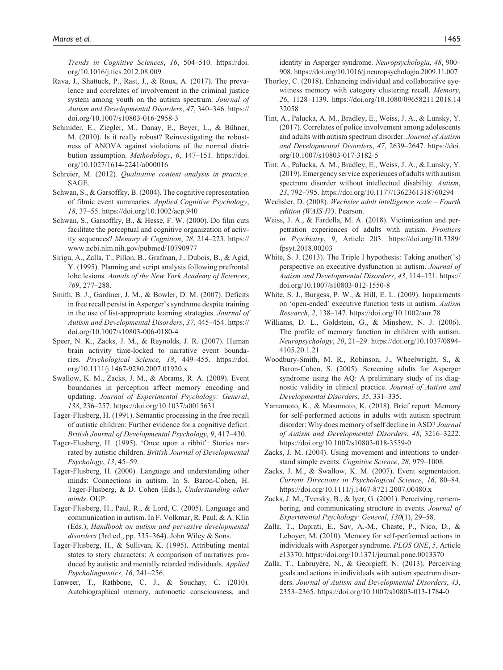*Trends in Cognitive Sciences*, *16*, 504–510. [https://doi.](https://doi.org/10.1016/j.tics.2012.08.009) [org/10.1016/j.tics.2012.08.009](https://doi.org/10.1016/j.tics.2012.08.009)

- Rava, J., Shattuck, P., Rast, J., & Roux, A. (2017). The prevalence and correlates of involvement in the criminal justice system among youth on the autism spectrum. *Journal of Autism and Developmental Disorders*, *47*, 340–346. [https://](https://doi.org/10.1007/s10803-016-2958-3) [doi.org/10.1007/s10803-016-2958-3](https://doi.org/10.1007/s10803-016-2958-3)
- Schmider, E., Ziegler, M., Danay, E., Beyer, L., & Bühner, M. (2010). Is it really robust? Reinvestigating the robustness of ANOVA against violations of the normal distribution assumption. *Methodology*, *6*, 147–151. [https://doi.](https://doi.org/10.1027/1614-2241/a000016) [org/10.1027/1614-2241/a000016](https://doi.org/10.1027/1614-2241/a000016)
- Schreier, M. (2012). *Qualitative content analysis in practice*. SAGE.
- Schwan, S., & Garsoffky, B. (2004). The cognitive representation of filmic event summaries. *Applied Cognitive Psychology*, *18*, 37–55. <https://doi.org/10.1002/acp.940>
- Schwan, S., Garsoffky, B., & Hesse, F. W. (2000). Do film cuts facilitate the perceptual and cognitive organization of activity sequences? *Memory & Cognition*, *28*, 214–223. [https://](https://www.ncbi.nlm.nih.gov/pubmed/10790977) [www.ncbi.nlm.nih.gov/pubmed/10790977](https://www.ncbi.nlm.nih.gov/pubmed/10790977)
- Sirigu, A., Zalla, T., Pillon, B., Grafman, J., Dubois, B., & Agid, Y. (1995). Planning and script analysis following prefrontal lobe lesions. *Annals of the New York Academy of Sciences*, *769*, 277–288.
- Smith, B. J., Gardiner, J. M., & Bowler, D. M. (2007). Deficits in free recall persist in Asperger's syndrome despite training in the use of list-appropriate learning strategies. *Journal of Autism and Developmental Disorders*, *37*, 445–454. [https://](https://doi.org/10.1007/s10803-006-0180-4) [doi.org/10.1007/s10803-006-0180-4](https://doi.org/10.1007/s10803-006-0180-4)
- Speer, N. K., Zacks, J. M., & Reynolds, J. R. (2007). Human brain activity time-locked to narrative event boundaries. *Psychological Science*, *18*, 449–455. [https://doi.](https://doi.org/10.1111/j.1467-9280.2007.01920.x) [org/10.1111/j.1467-9280.2007.01920.x](https://doi.org/10.1111/j.1467-9280.2007.01920.x)
- Swallow, K. M., Zacks, J. M., & Abrams, R. A. (2009). Event boundaries in perception affect memory encoding and updating. *Journal of Experimental Psychology: General*, *138*, 236–257.<https://doi.org/10.1037/a0015631>
- Tager-Flusberg, H. (1991). Semantic processing in the free recall of autistic children: Further evidence for a cognitive deficit. *British Journal of Developmental Psychology*, *9*, 417–430.
- Tager-Flusberg, H. (1995). 'Once upon a ribbit': Stories narrated by autistic children. *British Journal of Developmental Psychology*, *13*, 45–59.
- Tager-Flusberg, H. (2000). Language and understanding other minds: Connections in autism. In S. Baron-Cohen, H. Tager-Flusberg, & D. Cohen (Eds.), *Understanding other minds*. OUP.
- Tager-Flusberg, H., Paul, R., & Lord, C. (2005). Language and communication in autism. In F. Volkmar, R. Paul, & A. Klin (Eds.), *Handbook on autism and pervasive developmental disorders* (3rd ed., pp. 335–364). John Wiley & Sons.
- Tager-Flusberg, H., & Sullivan, K. (1995). Attributing mental states to story characters: A comparison of narratives produced by autistic and mentally retarded individuals. *Applied Psycholinguistics*, *16*, 241–256.
- Tanweer, T., Rathbone, C. J., & Souchay, C. (2010). Autobiographical memory, autonoetic consciousness, and

identity in Asperger syndrome. *Neuropsychologia*, *48*, 900– 908.<https://doi.org/10.1016/j.neuropsychologia.2009.11.007>

- Thorley, C. (2018). Enhancing individual and collaborative eyewitness memory with category clustering recall. *Memory*, *26*, 1128–1139. [https://doi.org/10.1080/09658211.2018.14](https://doi.org/10.1080/09658211.2018.1432058) [32058](https://doi.org/10.1080/09658211.2018.1432058)
- Tint, A., Palucka, A. M., Bradley, E., Weiss, J. A., & Lunsky, Y. (2017). Correlates of police involvement among adolescents and adults with autism spectrum disorder. *Journal of Autism and Developmental Disorders*, *47*, 2639–2647. [https://doi.](https://doi.org/10.1007/s10803-017-3182-5) [org/10.1007/s10803-017-3182-5](https://doi.org/10.1007/s10803-017-3182-5)
- Tint, A., Palucka, A. M., Bradley, E., Weiss, J. A., & Lunsky, Y. (2019). Emergency service experiences of adults with autism spectrum disorder without intellectual disability. *Autism*, *23*, 792–795. <https://doi.org/10.1177/1362361318760294>
- Wechsler, D. (2008). *Wechsler adult intelligence scale Fourth edition (WAIS-IV)*. Pearson.
- Weiss, J. A., & Fardella, M. A. (2018). Victimization and perpetration experiences of adults with autism. *Frontiers in Psychiatry*, *9*, Article 203. [https://doi.org/10.3389/](https://doi.org/10.3389/fpsyt.2018.00203) [fpsyt.2018.00203](https://doi.org/10.3389/fpsyt.2018.00203)
- White, S. J. (2013). The Triple I hypothesis: Taking another('s) perspective on executive dysfunction in autism. *Journal of Autism and Developmental Disorders*, *43*, 114–121. [https://](https://doi.org/10.1007/s10803-012-1550-8) [doi.org/10.1007/s10803-012-1550-8](https://doi.org/10.1007/s10803-012-1550-8)
- White, S. J., Burgess, P. W., & Hill, E. L. (2009). Impairments on 'open-ended' executive function tests in autism. *Autism Research*, *2*, 138–147.<https://doi.org/10.1002/aur.78>
- Williams, D. L., Goldstein, G., & Minshew, N. J. (2006). The profile of memory function in children with autism. *Neuropsychology*, *20*, 21–29. [https://doi.org/10.1037/0894-](https://doi.org/10.1037/0894-4105.20.1.21) [4105.20.1.21](https://doi.org/10.1037/0894-4105.20.1.21)
- Woodbury-Smith, M. R., Robinson, J., Wheelwright, S., & Baron-Cohen, S. (2005). Screening adults for Asperger syndrome using the AQ: A preliminary study of its diagnostic validity in clinical practice. *Journal of Autism and Developmental Disorders*, *35*, 331–335.
- Yamamoto, K., & Masumoto, K. (2018). Brief report: Memory for self-performed actions in adults with autism spectrum disorder: Why does memory of self decline in ASD? *Journal of Autism and Developmental Disorders*, *48*, 3216–3222. <https://doi.org/10.1007/s10803-018-3559-0>
- Zacks, J. M. (2004). Using movement and intentions to understand simple events. *Cognitive Science*, *28*, 979–1008.
- Zacks, J. M., & Swallow, K. M. (2007). Event segmentation. *Current Directions in Psychological Science*, *16*, 80–84. <https://doi.org/10.1111/j.1467-8721.2007.00480.x>
- Zacks, J. M., Tversky, B., & Iyer, G. (2001). Perceiving, remembering, and communicating structure in events. *Journal of Experimental Psychology: General*, *130*(1), 29–58.
- Zalla, T., Daprati, E., Sav, A.-M., Chaste, P., Nico, D., & Leboyer, M. (2010). Memory for self-performed actions in individuals with Asperger syndrome. *PLOS ONE*, *5*, Article e13370.<https://doi.org/10.1371/journal.pone.0013370>
- Zalla, T., Labruyère, N., & Georgieff, N. (2013). Perceiving goals and actions in individuals with autism spectrum disorders. *Journal of Autism and Developmental Disorders*, *43*, 2353–2365.<https://doi.org/10.1007/s10803-013-1784-0>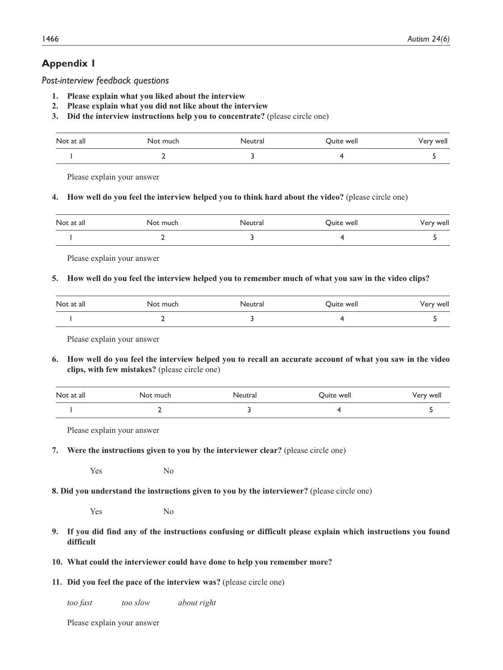# **Appendix 1**

*Post-interview feedback questions*

- **1. Please explain what you liked about the interview**
- **2. Please explain what you did not like about the interview**
- **3. Did the interview instructions help you to concentrate?** (please circle one)

| Not at all | Not much | Neutral | Quite well | Very well |
|------------|----------|---------|------------|-----------|
|            |          |         |            |           |

Please explain your answer

### **4. How well do you feel the interview helped you to think hard about the video?** (please circle one)

| Not at all | Not much | Neutral | Quite well | Very well |
|------------|----------|---------|------------|-----------|
|            |          |         |            |           |

Please explain your answer

### **5. How well do you feel the interview helped you to remember much of what you saw in the video clips?**

| Not at all | Not much | Neutral | Quite well | Very well |
|------------|----------|---------|------------|-----------|
|            |          |         |            |           |

Please explain your answer

**6. How well do you feel the interview helped you to recall an accurate account of what you saw in the video clips, with few mistakes?** (please circle one)

| Not at all | Not much | Neutral | Quite well | Very well |
|------------|----------|---------|------------|-----------|
|            |          |         |            |           |

Please explain your answer

**7. Were the instructions given to you by the interviewer clear?** (please circle one)

Yes No

**8. Did you understand the instructions given to you by the interviewer?** (please circle one)

Yes No

- **9. If you did find any of the instructions confusing or difficult please explain which instructions you found difficult**
- **10. What could the interviewer could have done to help you remember more?**
- **11. Did you feel the pace of the interview was?** (please circle one)

*too fast too slow about right*

Please explain your answer